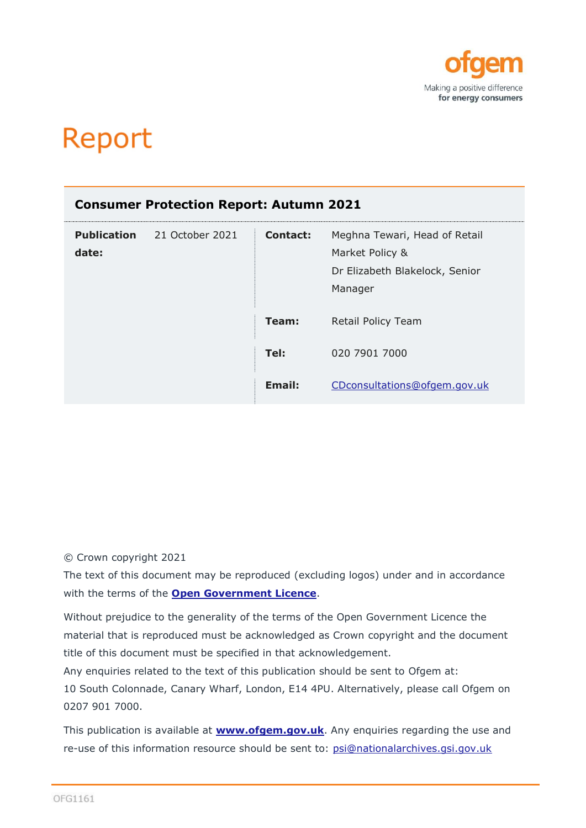

# Report

| <b>Consumer Protection Report: Autumn 2021</b> |                 |          |                                                                                               |  |
|------------------------------------------------|-----------------|----------|-----------------------------------------------------------------------------------------------|--|
| <b>Publication</b><br>date:                    | 21 October 2021 | Contact: | Meghna Tewari, Head of Retail<br>Market Policy &<br>Dr Elizabeth Blakelock, Senior<br>Manager |  |
|                                                |                 | Team:    | Retail Policy Team                                                                            |  |
|                                                |                 | Tel:     | 020 7901 7000                                                                                 |  |
|                                                |                 | Email:   | CDconsultations@ofgem.gov.uk                                                                  |  |

# © Crown copyright 2021

The text of this document may be reproduced (excluding logos) under and in accordance with the terms of the **[Open Government Licence](http://www.nationalarchives.gov.uk/doc/open-government-licence/version/3/)**.

Without prejudice to the generality of the terms of the Open Government Licence the material that is reproduced must be acknowledged as Crown copyright and the document title of this document must be specified in that acknowledgement.

Any enquiries related to the text of this publication should be sent to Ofgem at: 10 South Colonnade, Canary Wharf, London, E14 4PU. Alternatively, please call Ofgem on 0207 901 7000.

This publication is available at **[www.ofgem.gov.uk](http://www.ofgem.gov.uk/)**. Any enquiries regarding the use and re-use of this information resource should be sent to: [psi@nationalarchives.gsi.gov.uk](mailto:psi@nationalarchives.gsi.gov.uk)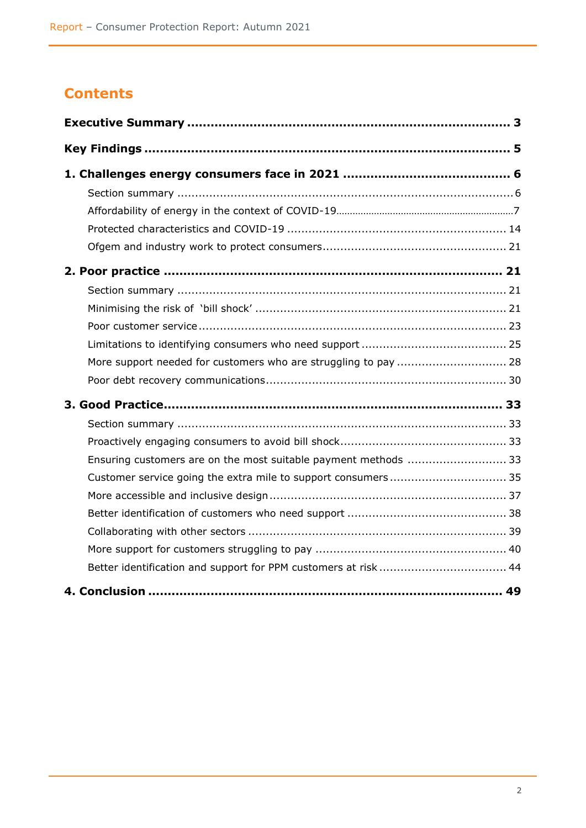# **Contents**

| More support needed for customers who are struggling to pay  28 |  |
|-----------------------------------------------------------------|--|
|                                                                 |  |
|                                                                 |  |
|                                                                 |  |
|                                                                 |  |
| Ensuring customers are on the most suitable payment methods  33 |  |
| Customer service going the extra mile to support consumers 35   |  |
|                                                                 |  |
|                                                                 |  |
|                                                                 |  |
|                                                                 |  |
| Better identification and support for PPM customers at risk  44 |  |
|                                                                 |  |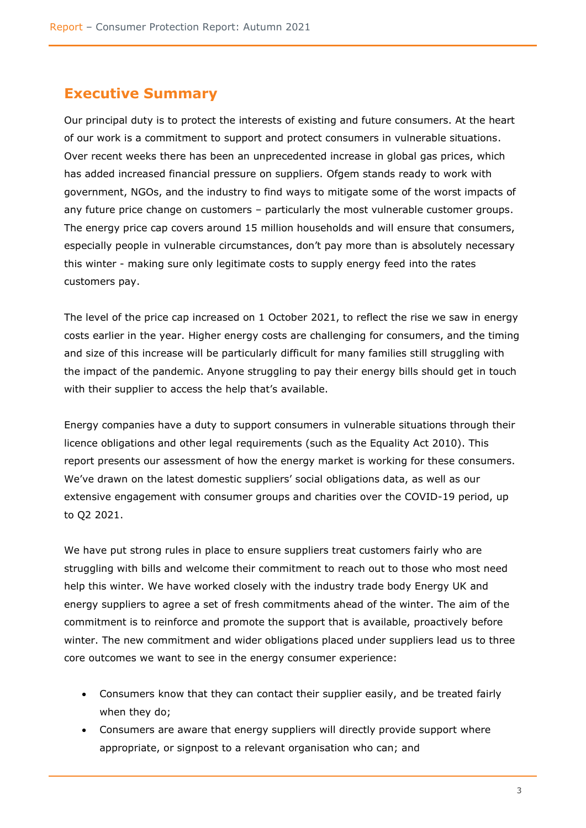# <span id="page-2-0"></span>**Executive Summary**

Our principal duty is to protect the interests of existing and future consumers. At the heart of our work is a commitment to support and protect consumers in vulnerable situations. Over recent weeks there has been an unprecedented increase in global gas prices, which has added increased financial pressure on suppliers. Ofgem stands ready to work with government, NGOs, and the industry to find ways to mitigate some of the worst impacts of any future price change on customers – particularly the most vulnerable customer groups. The energy price cap covers around 15 million households and will ensure that consumers, especially people in vulnerable circumstances, don't pay more than is absolutely necessary this winter - making sure only legitimate costs to supply energy feed into the rates customers pay.

The level of the price cap increased on 1 October 2021, to reflect the rise we saw in energy costs earlier in the year. Higher energy costs are challenging for consumers, and the timing and size of this increase will be particularly difficult for many families still struggling with the impact of the pandemic. Anyone struggling to pay their energy bills should get in touch with their supplier to access the help that's available.

Energy companies have a duty to support consumers in vulnerable situations through their licence obligations and other legal requirements (such as the Equality Act 2010). This report presents our assessment of how the energy market is working for these consumers. We've drawn on the latest domestic suppliers' social obligations data, as well as our extensive engagement with consumer groups and charities over the COVID-19 period, up to Q2 2021.

We have put strong rules in place to ensure suppliers treat customers fairly who are struggling with bills and welcome their commitment to reach out to those who most need help this winter. We have worked closely with the industry trade body Energy UK and energy suppliers to agree a set of fresh commitments ahead of the winter. The aim of the commitment is to reinforce and promote the support that is available, proactively before winter. The new commitment and wider obligations placed under suppliers lead us to three core outcomes we want to see in the energy consumer experience:

- Consumers know that they can contact their supplier easily, and be treated fairly when they do;
- Consumers are aware that energy suppliers will directly provide support where appropriate, or signpost to a relevant organisation who can; and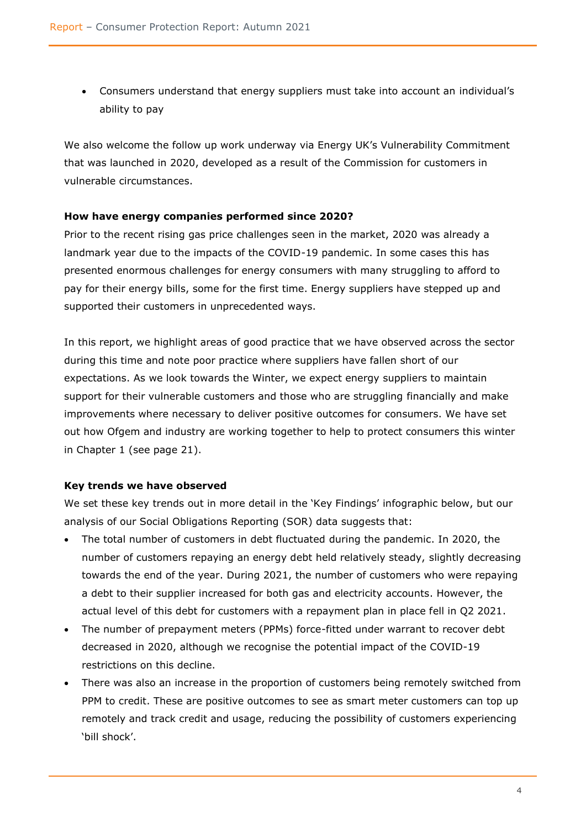• Consumers understand that energy suppliers must take into account an individual's ability to pay

We also welcome the follow up work underway via Energy UK's Vulnerability Commitment that was launched in 2020, developed as a result of the Commission for customers in vulnerable circumstances.

## **How have energy companies performed since 2020?**

Prior to the recent rising gas price challenges seen in the market, 2020 was already a landmark year due to the impacts of the COVID-19 pandemic. In some cases this has presented enormous challenges for energy consumers with many struggling to afford to pay for their energy bills, some for the first time. Energy suppliers have stepped up and supported their customers in unprecedented ways.

In this report, we highlight areas of good practice that we have observed across the sector during this time and note poor practice where suppliers have fallen short of our expectations. As we look towards the Winter, we expect energy suppliers to maintain support for their vulnerable customers and those who are struggling financially and make improvements where necessary to deliver positive outcomes for consumers. We have set out how Ofgem and industry are working together to help to protect consumers this winter in Chapter 1 (see page 21).

# **Key trends we have observed**

We set these key trends out in more detail in the 'Key Findings' infographic below, but our analysis of our Social Obligations Reporting (SOR) data suggests that:

- The total number of customers in debt fluctuated during the pandemic. In 2020, the number of customers repaying an energy debt held relatively steady, slightly decreasing towards the end of the year. During 2021, the number of customers who were repaying a debt to their supplier increased for both gas and electricity accounts. However, the actual level of this debt for customers with a repayment plan in place fell in Q2 2021.
- The number of prepayment meters (PPMs) force-fitted under warrant to recover debt decreased in 2020, although we recognise the potential impact of the COVID-19 restrictions on this decline.
- There was also an increase in the proportion of customers being remotely switched from PPM to credit. These are positive outcomes to see as smart meter customers can top up remotely and track credit and usage, reducing the possibility of customers experiencing 'bill shock'.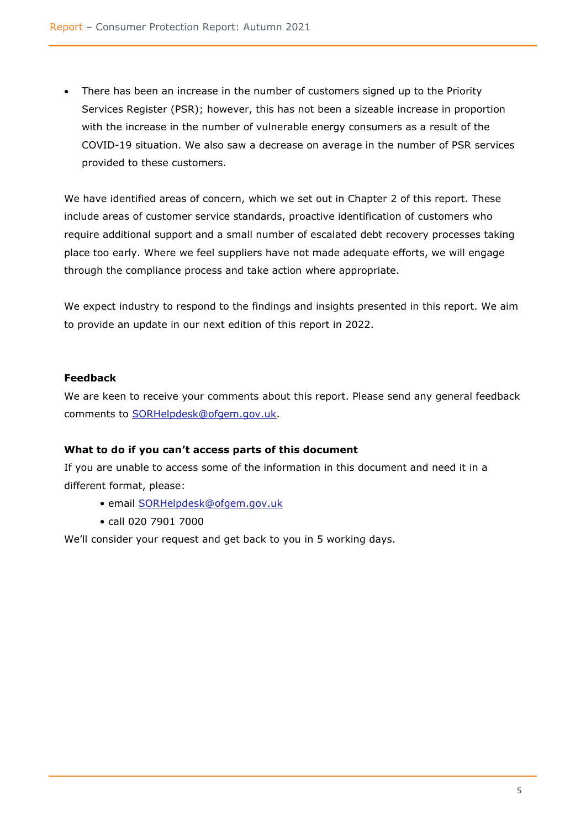• There has been an increase in the number of customers signed up to the Priority Services Register (PSR); however, this has not been a sizeable increase in proportion with the increase in the number of vulnerable energy consumers as a result of the COVID-19 situation. We also saw a decrease on average in the number of PSR services provided to these customers.

We have identified areas of concern, which we set out in Chapter 2 of this report. These include areas of customer service standards, proactive identification of customers who require additional support and a small number of escalated debt recovery processes taking place too early. Where we feel suppliers have not made adequate efforts, we will engage through the compliance process and take action where appropriate.

We expect industry to respond to the findings and insights presented in this report. We aim to provide an update in our next edition of this report in 2022.

# **Feedback**

We are keen to receive your comments about this report. Please send any general feedback comments to [SORHelpdesk@ofgem.gov.uk.](mailto:SORHelpdesk@ofgem.gov.uk)

#### **What to do if you can't access parts of this document**

If you are unable to access some of the information in this document and need it in a different format, please:

- email [SORHelpdesk@ofgem.gov.uk](mailto:SORHelpdesk@ofgem.gov.uk)
- call 020 7901 7000

<span id="page-4-0"></span>We'll consider your request and get back to you in 5 working days.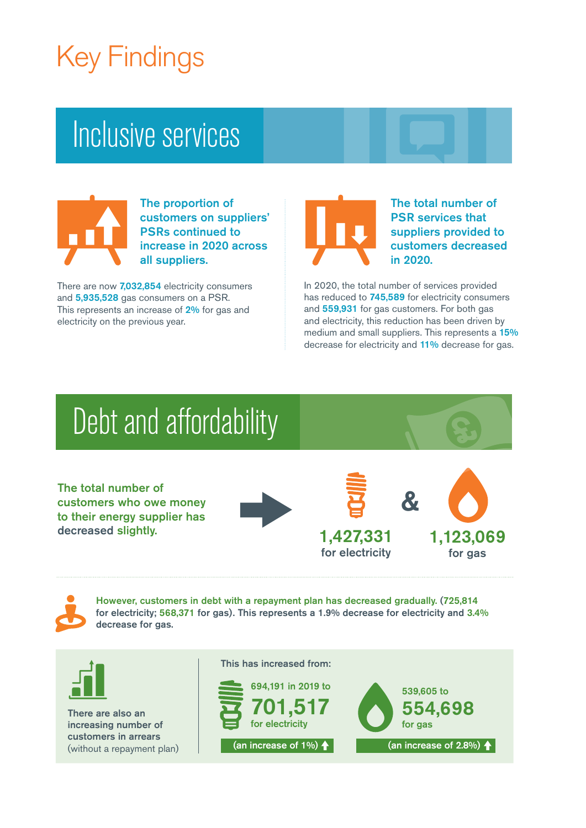# Key Findings

# Inclusive services



The proportion of customers on suppliers' PSRs continued to increase in 2020 across all suppliers.

There are now 7,032,854 electricity consumers and 5,935,528 gas consumers on a PSR. This represents an increase of 2% for gas and electricity on the previous year.



The total number of PSR services that suppliers provided to customers decreased in 2020.

In 2020, the total number of services provided has reduced to 745,589 for electricity consumers and 559,931 for gas customers. For both gas and electricity, this reduction has been driven by medium and small suppliers. This represents a 15% decrease for electricity and 11% decrease for gas.

 $\boldsymbol{\mathcal{R}}$ 

# Debt and affordability

The total number of customers who owe money to their energy supplier has decreased slightly.







However, customers in debt with a repayment plan has decreased gradually. (725,814 for electricity; 568,371 for gas). This represents a 1.9% decrease for electricity and 3.4% decrease for gas.



There are also an increasing number of customers in arrears (without a repayment plan) This has increased from:

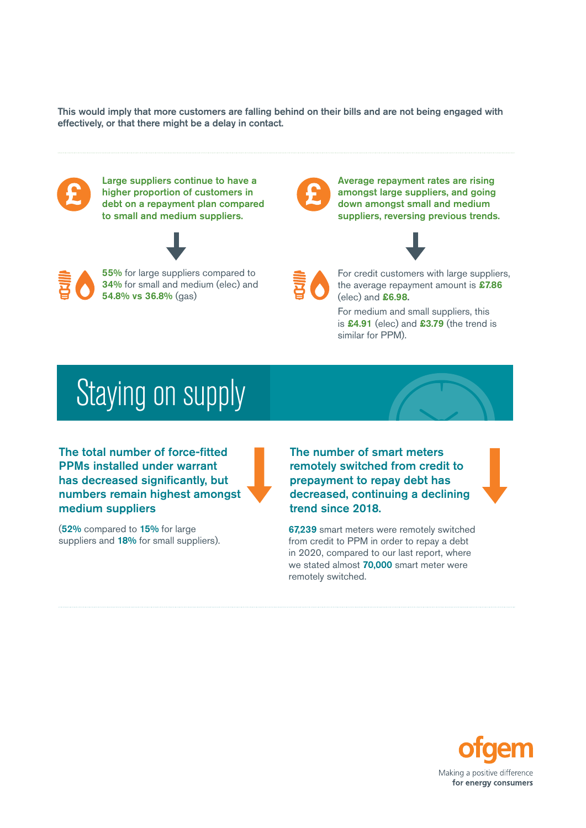This would imply that more customers are falling behind on their bills and are not being engaged with effectively, or that there might be a delay in contact.



# Staying on supply

The total number of force-fitted PPMs installed under warrant has decreased significantly, but numbers remain highest amongst medium suppliers

(52% compared to 15% for large suppliers and 18% for small suppliers). The number of smart meters remotely switched from credit to prepayment to repay debt has decreased, continuing a declining trend since 2018.

**67,239** smart meters were remotely switched from credit to PPM in order to repay a debt in 2020, compared to our last report, where we stated almost 70,000 smart meter were remotely switched.

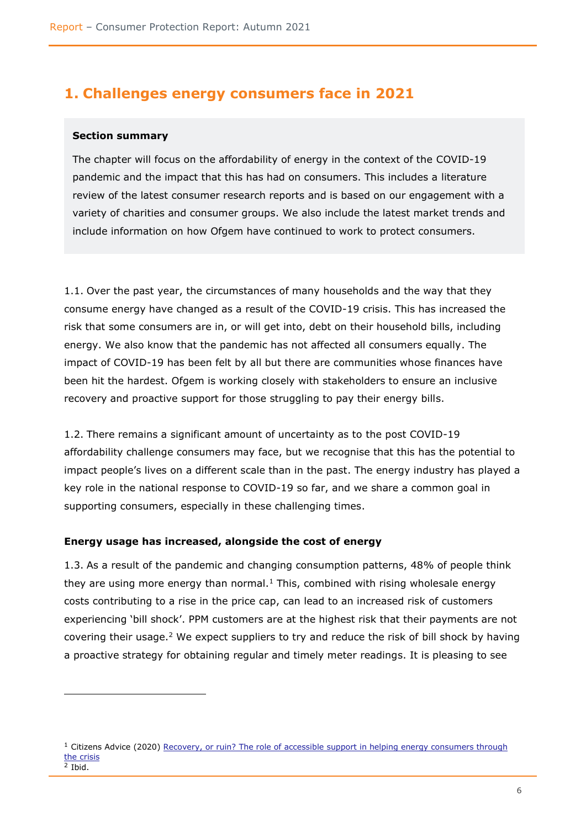# <span id="page-7-0"></span>**1. Challenges energy consumers face in 2021**

#### <span id="page-7-1"></span>**Section summary**

The chapter will focus on the affordability of energy in the context of the COVID-19 pandemic and the impact that this has had on consumers. This includes a literature review of the latest consumer research reports and is based on our engagement with a variety of charities and consumer groups. We also include the latest market trends and include information on how Ofgem have continued to work to protect consumers.

1.1. Over the past year, the circumstances of many households and the way that they consume energy have changed as a result of the COVID-19 crisis. This has increased the risk that some consumers are in, or will get into, debt on their household bills, including energy. We also know that the pandemic has not affected all consumers equally. The impact of COVID-19 has been felt by all but there are communities whose finances have been hit the hardest. Ofgem is working closely with stakeholders to ensure an inclusive recovery and proactive support for those struggling to pay their energy bills.

1.2. There remains a significant amount of uncertainty as to the post COVID-19 affordability challenge consumers may face, but we recognise that this has the potential to impact people's lives on a different scale than in the past. The energy industry has played a key role in the national response to COVID-19 so far, and we share a common goal in supporting consumers, especially in these challenging times.

#### **Energy usage has increased, alongside the cost of energy**

1.3. As a result of the pandemic and changing consumption patterns, 48% of people think they are using more energy than normal. $1$  This, combined with rising wholesale energy costs contributing to a rise in the price cap, can lead to an increased risk of customers experiencing 'bill shock'. PPM customers are at the highest risk that their payments are not covering their usage.<sup>2</sup> We expect suppliers to try and reduce the risk of bill shock by having a proactive strategy for obtaining regular and timely meter readings. It is pleasing to see

<sup>&</sup>lt;sup>1</sup> Citizens Advice (2020) Recovery, or ruin? The role of accessible support in helping energy consumers through [the crisis](https://www.citizensadvice.org.uk/Global/CitizensAdvice/Energy/Recovery%20or%20ruin%20(1).pdf) 2 Ibid.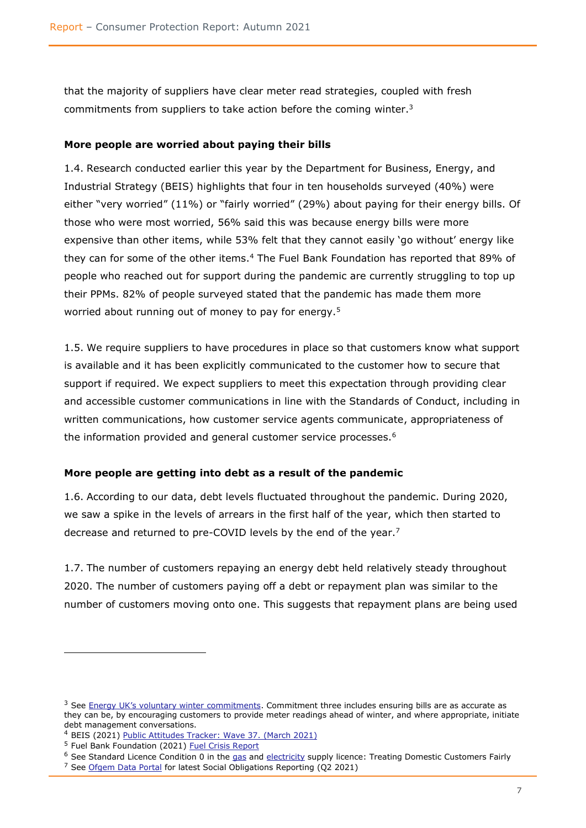that the majority of suppliers have clear meter read strategies, coupled with fresh commitments from suppliers to take action before the coming winter.<sup>3</sup>

## **More people are worried about paying their bills**

1.4. Research conducted earlier this year by the Department for Business, Energy, and Industrial Strategy (BEIS) highlights that four in ten households surveyed (40%) were either "very worried" (11%) or "fairly worried" (29%) about paying for their energy bills. Of those who were most worried, 56% said this was because energy bills were more expensive than other items, while 53% felt that they cannot easily 'go without' energy like they can for some of the other items.<sup>4</sup> The Fuel Bank Foundation has reported that 89% of people who reached out for support during the pandemic are currently struggling to top up their PPMs. 82% of people surveyed stated that the pandemic has made them more worried about running out of money to pay for energy.<sup>5</sup>

1.5. We require suppliers to have procedures in place so that customers know what support is available and it has been explicitly communicated to the customer how to secure that support if required. We expect suppliers to meet this expectation through providing clear and accessible customer communications in line with the Standards of Conduct, including in written communications, how customer service agents communicate, appropriateness of the information provided and general customer service processes.<sup>6</sup>

# **More people are getting into debt as a result of the pandemic**

1.6. According to our data, debt levels fluctuated throughout the pandemic. During 2020, we saw a spike in the levels of arrears in the first half of the year, which then started to decrease and returned to pre-COVID levels by the end of the year.<sup>7</sup>

1.7. The number of customers repaying an energy debt held relatively steady throughout 2020. The number of customers paying off a debt or repayment plan was similar to the number of customers moving onto one. This suggests that repayment plans are being used

 $3$  See [Energy UK's voluntary winter commitments](https://www.energy-uk.org.uk/media-and-campaigns/press-releases/497-2021/7963-energy-sector-offers-helping-hand.html). Commitment three includes ensuring bills are as accurate as they can be, by encouraging customers to provide meter readings ahead of winter, and where appropriate, initiate debt management conversations.

<sup>4</sup> BEIS (2021) [Public Attitudes Tracker: Wave 37.](https://www.gov.uk/government/collections/public-attitudes-tracking-survey) (March 2021)

<sup>&</sup>lt;sup>5</sup> Fuel Bank Foundation (2021) [Fuel Crisis Report](https://www.fuelbankfoundation.org/wp-content/uploads/2021/02/Fuel-Bank-Whitepaper-FINAL.pdf)

<sup>&</sup>lt;sup>6</sup> See Standard Licence Condition 0 in the [gas](https://epr.ofgem.gov.uk/Content/Documents/Gas%20supply%20standard%20licence%20conditions%20consolidated%20-%20Current%20Version.pdf) and [electricity](https://epr.ofgem.gov.uk/Content/Documents/Electricity%20Supply%20Standard%20Licence%20Conditions%20Consolidated%20-%20Current%20Version.pdf) supply licence: Treating Domestic Customers Fairly  $<sup>7</sup>$  See [Ofgem Data Portal](https://www.ofgem.gov.uk/search/data-charts?keyword=arrears&industry_sector_chart=1609&sort=relevance) for latest Social Obligations Reporting (Q2 2021)</sup>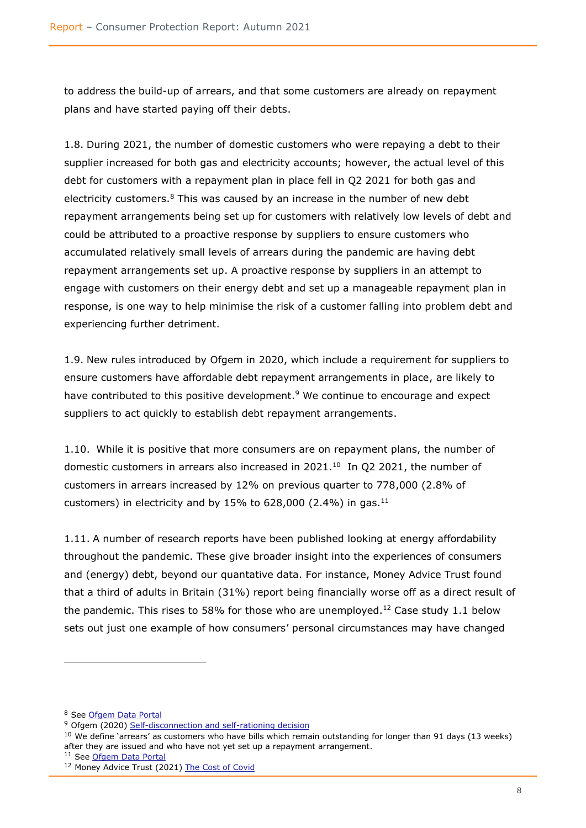to address the build-up of arrears, and that some customers are already on repayment plans and have started paying off their debts.

1.8. During 2021, the number of domestic customers who were repaying a debt to their supplier increased for both gas and electricity accounts; however, the actual level of this debt for customers with a repayment plan in place fell in Q2 2021 for both gas and electricity customers.<sup>8</sup> This was caused by an increase in the number of new debt repayment arrangements being set up for customers with relatively low levels of debt and could be attributed to a proactive response by suppliers to ensure customers who accumulated relatively small levels of arrears during the pandemic are having debt repayment arrangements set up. A proactive response by suppliers in an attempt to engage with customers on their energy debt and set up a manageable repayment plan in response, is one way to help minimise the risk of a customer falling into problem debt and experiencing further detriment.

1.9. New rules introduced by Ofgem in 2020, which include a requirement for suppliers to ensure customers have affordable debt repayment arrangements in place, are likely to have contributed to this positive development. <sup>9</sup> We continue to encourage and expect suppliers to act quickly to establish debt repayment arrangements.

1.10. While it is positive that more consumers are on repayment plans, the number of domestic customers in arrears also increased in  $2021.<sup>10</sup>$  In Q2 2021, the number of customers in arrears increased by 12% on previous quarter to 778,000 (2.8% of customers) in electricity and by  $15\%$  to  $628,000$  (2.4%) in gas.<sup>11</sup>

1.11. A number of research reports have been published looking at energy affordability throughout the pandemic. These give broader insight into the experiences of consumers and (energy) debt, beyond our quantative data. For instance, Money Advice Trust found that a third of adults in Britain (31%) report being financially worse off as a direct result of the pandemic. This rises to 58% for those who are unemployed.<sup>12</sup> Case study 1.1 below sets out just one example of how consumers' personal circumstances may have changed

<sup>8</sup> See [Ofgem Data Portal](https://www.ofgem.gov.uk/energy-data-and-research/data-portal/retail-market-indicators)

<sup>&</sup>lt;sup>9</sup> Ofgem (2020) [Self-disconnection and self-rationing decision](https://www.ofgem.gov.uk/publications/self-disconnection-and-self-rationing-decision)

 $10$  We define 'arrears' as customers who have bills which remain outstanding for longer than 91 days (13 weeks) after they are issued and who have not yet set up a repayment arrangement.

<sup>11</sup> See [Ofgem Data Portal](https://www.ofgem.gov.uk/energy-data-and-research/data-portal/retail-market-indicators)

<sup>12</sup> Money Advice Trust (2021) [The Cost of Covid](https://moneyadvicetrust.org/media/documents/The_cost_of_covid.pdf)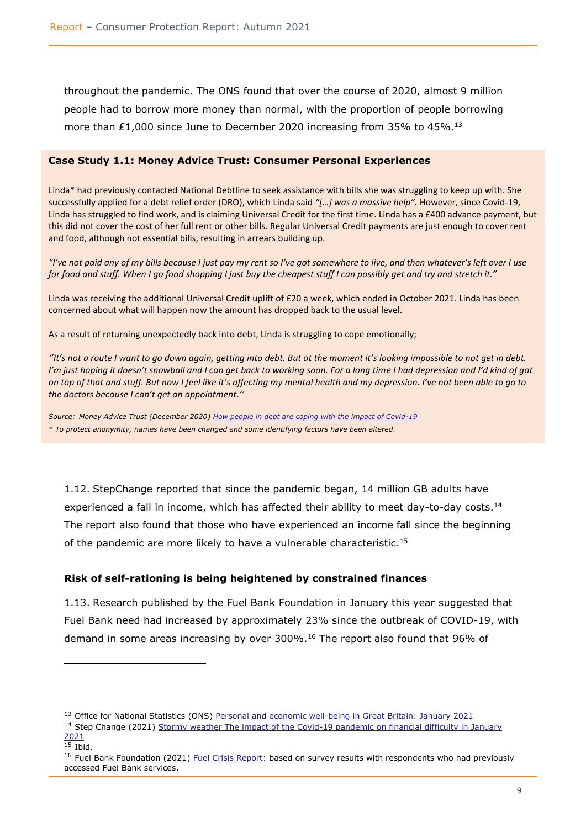throughout the pandemic. The ONS found that over the course of 2020, almost 9 million people had to borrow more money than normal, with the proportion of people borrowing more than £1,000 since June to December 2020 increasing from 35% to 45%.<sup>13</sup>

#### **Case Study 1.1: Money Advice Trust: Consumer Personal Experiences**

Linda\* had previously contacted National Debtline to seek assistance with bills she was struggling to keep up with. She successfully applied for a debt relief order (DRO), which Linda said *"[…] was a massive help".* However, since Covid-19, Linda has struggled to find work, and is claiming Universal Credit for the first time. Linda has a £400 advance payment, but this did not cover the cost of her full rent or other bills. Regular Universal Credit payments are just enough to cover rent and food, although not essential bills, resulting in arrears building up.

*"I've not paid any of my bills because I just pay my rent so I've got somewhere to live, and then whatever's left over I use for food and stuff. When I go food shopping I just buy the cheapest stuff I can possibly get and try and stretch it."*

Linda was receiving the additional Universal Credit uplift of £20 a week, which ended in October 2021. Linda has been concerned about what will happen now the amount has dropped back to the usual level.

As a result of returning unexpectedly back into debt, Linda is struggling to cope emotionally;

*''It's not a route I want to go down again, getting into debt. But at the moment it's looking impossible to not get in debt. I'm just hoping it doesn't snowball and I can get back to working soon. For a long time I had depression and I'd kind of got on top of that and stuff. But now I feel like it's affecting my mental health and my depression. I've not been able to go to the doctors because I can't get an appointment.''*

*Source: Money Advice Trust (December 2020) [How people in debt are coping with the impact of Covid-19](https://moneyadvicetrust.org/media/documents/How_people_in_debt_are_coping_with_the_impact_of_Covid19.pdf) \* To protect anonymity, names have been changed and some identifying factors have been altered.*

1.12. StepChange reported that since the pandemic began, 14 million GB adults have experienced a fall in income, which has affected their ability to meet day-to-day costs.<sup>14</sup> The report also found that those who have experienced an income fall since the beginning of the pandemic are more likely to have a vulnerable characteristic.<sup>15</sup>

#### **Risk of self-rationing is being heightened by constrained finances**

1.13. Research published by the Fuel Bank Foundation in January this year suggested that Fuel Bank need had increased by approximately 23% since the outbreak of COVID-19, with demand in some areas increasing by over 300%.<sup>16</sup> The report also found that 96% of

<sup>&</sup>lt;sup>13</sup> Office for National Statistics (ONS) [Personal and economic well-being in Great Britain: January 2021](https://www.ons.gov.uk/peoplepopulationandcommunity/wellbeing/bulletins/personalandeconomicwellbeingintheuk/january2021)

<sup>&</sup>lt;sup>14</sup> Step Change (2021) Stormy weather The impact of the Covid-19 pandemic on financial difficulty in January [2021](https://www.stepchange.org/Portals/0/assets/pdf/Coronavirus-impact-dashboard-January-2021-StepChange.pdf)

 $15$  Tbid.

<sup>&</sup>lt;sup>16</sup> Fuel Bank Foundation (2021) [Fuel Crisis Report:](https://www.fuelbankfoundation.org/wp-content/uploads/2021/02/Fuel-Bank-Whitepaper-FINAL.pdf) based on survey results with respondents who had previously accessed Fuel Bank services.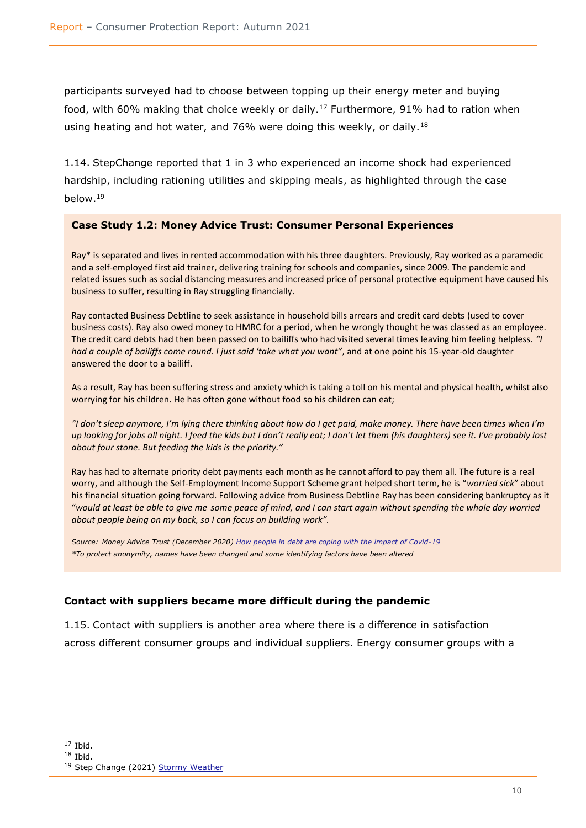participants surveyed had to choose between topping up their energy meter and buying food, with 60% making that choice weekly or daily.<sup>17</sup> Furthermore, 91% had to ration when using heating and hot water, and 76% were doing this weekly, or daily.<sup>18</sup>

1.14. StepChange reported that 1 in 3 who experienced an income shock had experienced hardship, including rationing utilities and skipping meals, as highlighted through the case below. 19

#### **Case Study 1.2: Money Advice Trust: Consumer Personal Experiences**

Ray\* is separated and lives in rented accommodation with his three daughters. Previously, Ray worked as a paramedic and a self-employed first aid trainer, delivering training for schools and companies, since 2009. The pandemic and related issues such as social distancing measures and increased price of personal protective equipment have caused his business to suffer, resulting in Ray struggling financially.

Ray contacted Business Debtline to seek assistance in household bills arrears and credit card debts (used to cover business costs). Ray also owed money to HMRC for a period, when he wrongly thought he was classed as an employee. The credit card debts had then been passed on to bailiffs who had visited several times leaving him feeling helpless. *"I had a couple of bailiffs come round. I just said 'take what you want"*, and at one point his 15-year-old daughter answered the door to a bailiff.

As a result, Ray has been suffering stress and anxiety which is taking a toll on his mental and physical health, whilst also worrying for his children. He has often gone without food so his children can eat;

*"I don't sleep anymore, I'm lying there thinking about how do I get paid, make money. There have been times when I'm up looking for jobs all night. I feed the kids but I don't really eat; I don't let them (his daughters) see it. I've probably lost about four stone. But feeding the kids is the priority."*

Ray has had to alternate priority debt payments each month as he cannot afford to pay them all. The future is a real worry, and although the Self-Employment Income Support Scheme grant helped short term, he is "*worried sick*" about his financial situation going forward. Following advice from Business Debtline Ray has been considering bankruptcy as it "*would at least be able to give me some peace of mind, and I can start again without spending the whole day worried about people being on my back, so I can focus on building work".*

*Source: Money Advice Trust (December 2020) [How people in debt are coping with the impact of Covid-19](https://moneyadvicetrust.org/media/documents/How_people_in_debt_are_coping_with_the_impact_of_Covid19.pdf) \*To protect anonymity, names have been changed and some identifying factors have been altered*

#### **Contact with suppliers became more difficult during the pandemic**

1.15. Contact with suppliers is another area where there is a difference in satisfaction across different consumer groups and individual suppliers. Energy consumer groups with a

 $17$  Ibid.

 $18$  Ibid.

<sup>&</sup>lt;sup>19</sup> Step Change (2021) [Stormy Weather](https://www.stepchange.org/policy-and-research/covid-impact-report-jan-2021.aspx)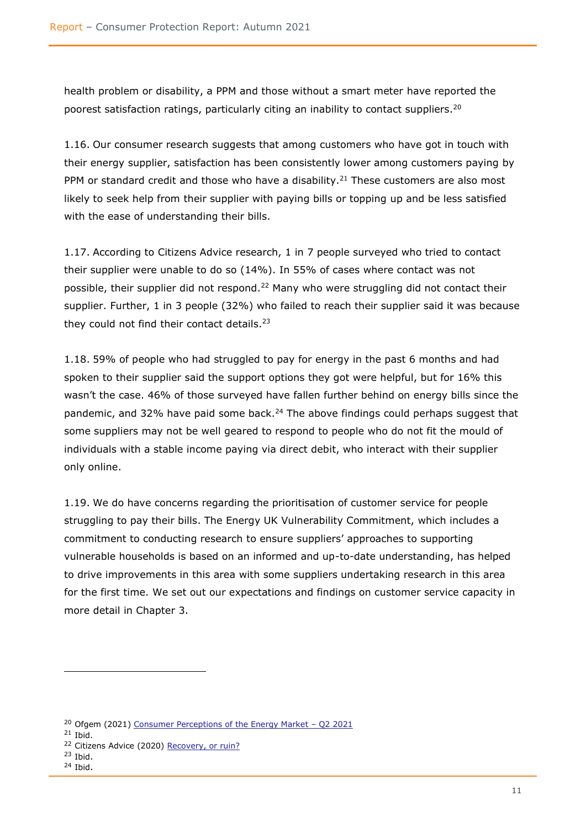health problem or disability, a PPM and those without a smart meter have reported the poorest satisfaction ratings, particularly citing an inability to contact suppliers.<sup>20</sup>

1.16. Our consumer research suggests that among customers who have got in touch with their energy supplier, satisfaction has been consistently lower among customers paying by PPM or standard credit and those who have a disability.<sup>21</sup> These customers are also most likely to seek help from their supplier with paying bills or topping up and be less satisfied with the ease of understanding their bills.

1.17. According to Citizens Advice research, 1 in 7 people surveyed who tried to contact their supplier were unable to do so (14%). In 55% of cases where contact was not possible, their supplier did not respond.<sup>22</sup> Many who were struggling did not contact their supplier. Further, 1 in 3 people (32%) who failed to reach their supplier said it was because they could not find their contact details. $23$ 

1.18. 59% of people who had struggled to pay for energy in the past 6 months and had spoken to their supplier said the support options they got were helpful, but for 16% this wasn't the case. 46% of those surveyed have fallen further behind on energy bills since the pandemic, and 32% have paid some back.<sup>24</sup> The above findings could perhaps suggest that some suppliers may not be well geared to respond to people who do not fit the mould of individuals with a stable income paying via direct debit, who interact with their supplier only online.

1.19. We do have concerns regarding the prioritisation of customer service for people struggling to pay their bills. The Energy UK Vulnerability Commitment, which includes a commitment to conducting research to ensure suppliers' approaches to supporting vulnerable households is based on an informed and up-to-date understanding, has helped to drive improvements in this area with some suppliers undertaking research in this area for the first time. We set out our expectations and findings on customer service capacity in more detail in Chapter 3.

<sup>&</sup>lt;sup>20</sup> Ofgem (2021) [Consumer Perceptions of the Energy Market](https://www.ofgem.gov.uk/publications/consumer-perceptions-energy-market-q2-2021) - Q2 2021

 $21$  Ibid.

<sup>&</sup>lt;sup>22</sup> Citizens Advice (2020) [Recovery, or ruin?](https://www.citizensadvice.org.uk/Global/CitizensAdvice/Energy/Recovery%20or%20ruin%20(1).pdf)

 $23$  Ibid.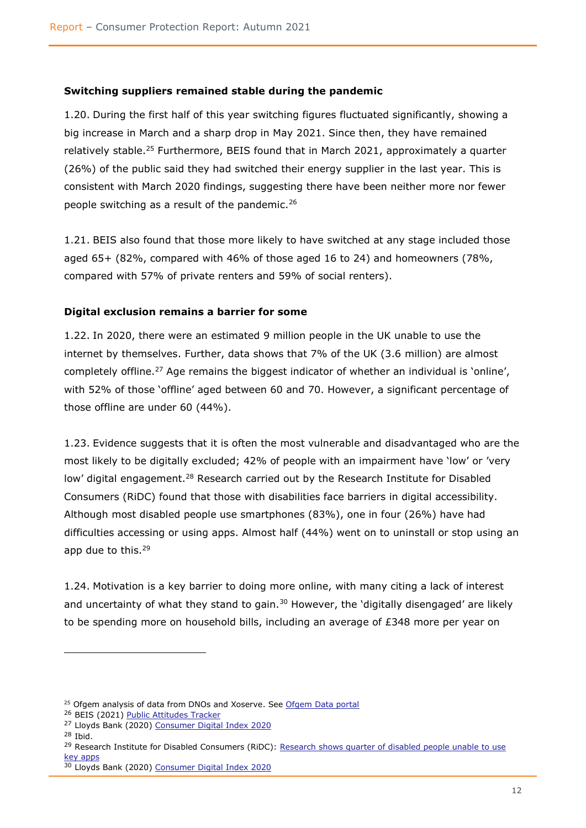### **Switching suppliers remained stable during the pandemic**

1.20. During the first half of this year switching figures fluctuated significantly, showing a big increase in March and a sharp drop in May 2021. Since then, they have remained relatively stable.<sup>25</sup> Furthermore, BEIS found that in March 2021, approximately a quarter (26%) of the public said they had switched their energy supplier in the last year. This is consistent with March 2020 findings, suggesting there have been neither more nor fewer people switching as a result of the pandemic.<sup>26</sup>

1.21. BEIS also found that those more likely to have switched at any stage included those aged 65+ (82%, compared with 46% of those aged 16 to 24) and homeowners (78%, compared with 57% of private renters and 59% of social renters).

## **Digital exclusion remains a barrier for some**

1.22. In 2020, there were an estimated 9 million people in the UK unable to use the internet by themselves. Further, data shows that 7% of the UK (3.6 million) are almost completely offline.<sup>27</sup> Age remains the biggest indicator of whether an individual is 'online', with 52% of those 'offline' aged between 60 and 70. However, a significant percentage of those offline are under 60 (44%).

1.23. Evidence suggests that it is often the most vulnerable and disadvantaged who are the most likely to be digitally excluded; 42% of people with an impairment have 'low' or 'very low' digital engagement.<sup>28</sup> Research carried out by the Research Institute for Disabled Consumers (RiDC) found that those with disabilities face barriers in digital accessibility. Although most disabled people use smartphones (83%), one in four (26%) have had difficulties accessing or using apps. Almost half (44%) went on to uninstall or stop using an app due to this.<sup>29</sup>

1.24. Motivation is a key barrier to doing more online, with many citing a lack of interest and uncertainty of what they stand to gain.<sup>30</sup> However, the 'digitally disengaged' are likely to be spending more on household bills, including an average of £348 more per year on

<sup>&</sup>lt;sup>25</sup> Ofgem analysis of data from DNOs and Xoserve. See [Ofgem Data portal](https://www.ofgem.gov.uk/energy-data-and-research/data-portal)

<sup>&</sup>lt;sup>26</sup> BEIS (2021) [Public Attitudes Tracker](https://www.gov.uk/government/collections/public-attitudes-tracking-survey)

<sup>&</sup>lt;sup>27</sup> Lloyds Bank (2020) [Consumer Digital Index 2020](https://www.lloydsbank.com/assets/media/pdfs/banking_with_us/whats-happening/lb-consumer-digital-index-2020-report.pdf)

<sup>28</sup> Ibid.

<sup>&</sup>lt;sup>29</sup> Research Institute for Disabled Consumers (RiDC): Research shows quarter of disabled people unable to use [key apps](https://www.ridc.org.uk/news/research-shows-quarter-disabled-people-unable-use-key-apps)

<sup>30</sup> Lloyds Bank (2020) [Consumer Digital Index 2020](https://www.lloydsbank.com/assets/media/pdfs/banking_with_us/whats-happening/lb-consumer-digital-index-2020-report.pdf)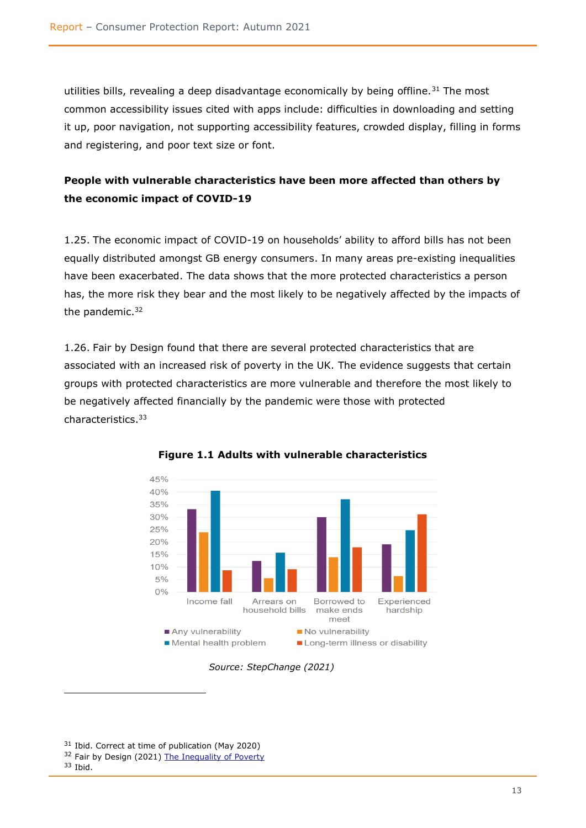utilities bills, revealing a deep disadvantage economically by being offline.<sup>31</sup> The most common accessibility issues cited with apps include: difficulties in downloading and setting it up, poor navigation, not supporting accessibility features, crowded display, filling in forms and registering, and poor text size or font.

# **People with vulnerable characteristics have been more affected than others by the economic impact of COVID-19**

1.25. The economic impact of COVID-19 on households' ability to afford bills has not been equally distributed amongst GB energy consumers. In many areas pre-existing inequalities have been exacerbated. The data shows that the more protected characteristics a person has, the more risk they bear and the most likely to be negatively affected by the impacts of the pandemic. $32$ 

1.26. Fair by Design found that there are several protected characteristics that are associated with an increased risk of poverty in the UK. The evidence suggests that certain groups with protected characteristics are more vulnerable and therefore the most likely to be negatively affected financially by the pandemic were those with protected characteristics.<sup>33</sup>





#### <span id="page-14-0"></span> *Source: StepChange (2021)*

<sup>&</sup>lt;sup>31</sup> Ibid. Correct at time of publication (May 2020)

<sup>&</sup>lt;sup>32</sup> Fair by Design (2021) [The Inequality of Poverty](https://fairbydesign.com/wp-content/uploads/2021/02/The-Inequality-of-Poverty-Full-Report.pdf)

 $33$  Ibid.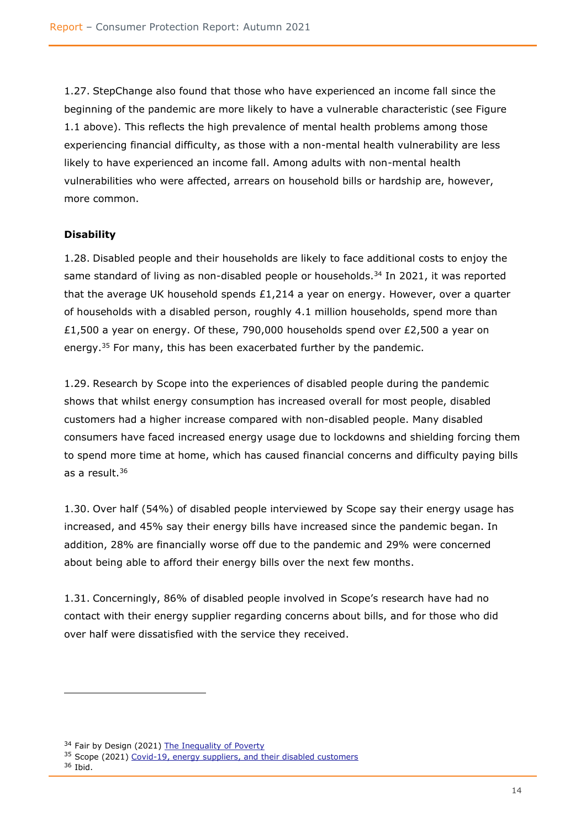1.27. StepChange also found that those who have experienced an income fall since the beginning of the pandemic are more likely to have a vulnerable characteristic (see Figure 1.1 above). This reflects the high prevalence of mental health problems among those experiencing financial difficulty, as those with a non-mental health vulnerability are less likely to have experienced an income fall. Among adults with non-mental health vulnerabilities who were affected, arrears on household bills or hardship are, however, more common.

# <span id="page-15-0"></span>**Disability**

1.28. Disabled people and their households are likely to face additional costs to enjoy the same standard of living as non-disabled people or households.<sup>34</sup> In 2021, it was reported that the average UK household spends  $£1,214$  a year on energy. However, over a quarter of households with a disabled person, roughly 4.1 million households, spend more than £1,500 a year on energy. Of these, 790,000 households spend over £2,500 a year on energy.<sup>35</sup> For many, this has been exacerbated further by the pandemic.

1.29. Research by Scope into the experiences of disabled people during the pandemic shows that whilst energy consumption has increased overall for most people, disabled customers had a higher increase compared with non-disabled people. Many disabled consumers have faced increased energy usage due to lockdowns and shielding forcing them to spend more time at home, which has caused financial concerns and difficulty paying bills as a result.<sup>36</sup>

1.30. Over half (54%) of disabled people interviewed by Scope say their energy usage has increased, and 45% say their energy bills have increased since the pandemic began. In addition, 28% are financially worse off due to the pandemic and 29% were concerned about being able to afford their energy bills over the next few months.

1.31. Concerningly, 86% of disabled people involved in Scope's research have had no contact with their energy supplier regarding concerns about bills, and for those who did over half were dissatisfied with the service they received.

<sup>&</sup>lt;sup>34</sup> Fair by Design (2021) [The Inequality of Poverty](The%20Inequality%20of%20Poverty)

<sup>&</sup>lt;sup>35</sup> Scope (2021) [Covid-19, energy suppliers, and their disabled customers](https://www.scope.org.uk/campaigns/research-policy/coronavirus-energy-suppliers-and-disabled-people/)

<sup>36</sup> Ibid.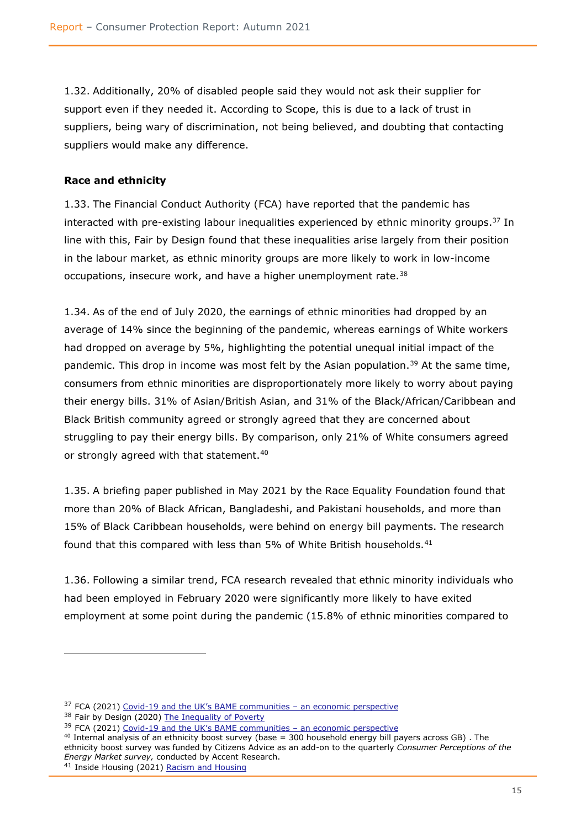1.32. Additionally, 20% of disabled people said they would not ask their supplier for support even if they needed it. According to Scope, this is due to a lack of trust in suppliers, being wary of discrimination, not being believed, and doubting that contacting suppliers would make any difference.

# <span id="page-16-0"></span>**Race and ethnicity**

1.33. The Financial Conduct Authority (FCA) have reported that the pandemic has interacted with pre-existing labour inequalities experienced by ethnic minority groups.<sup>37</sup> In line with this, Fair by Design found that these inequalities arise largely from their position in the labour market, as ethnic minority groups are more likely to work in low-income occupations, insecure work, and have a higher unemployment rate.<sup>38</sup>

1.34. As of the end of July 2020, the earnings of ethnic minorities had dropped by an average of 14% since the beginning of the pandemic, whereas earnings of White workers had dropped on average by 5%, highlighting the potential unequal initial impact of the pandemic. This drop in income was most felt by the Asian population.<sup>39</sup> At the same time, consumers from ethnic minorities are disproportionately more likely to worry about paying their energy bills. 31% of Asian/British Asian, and 31% of the Black/African/Caribbean and Black British community agreed or strongly agreed that they are concerned about struggling to pay their energy bills. By comparison, only 21% of White consumers agreed or strongly agreed with that statement.<sup>40</sup>

1.35. A briefing paper published in May 2021 by the Race Equality Foundation found that more than 20% of Black African, Bangladeshi, and Pakistani households, and more than 15% of Black Caribbean households, were behind on energy bill payments. The research found that this compared with less than 5% of White British households.<sup>41</sup>

1.36. Following a similar trend, FCA research revealed that ethnic minority individuals who had been employed in February 2020 were significantly more likely to have exited employment at some point during the pandemic (15.8% of ethnic minorities compared to

```
 Racism and Housing
```
 $37$  FCA (2021) Covid-[19 and the UK's BAME communities –](https://www.fca.org.uk/insight/covid-19-and-uk-bame-communities-economic-perspective) an economic perspective

<sup>38</sup> Fair by Design (2020) [The Inequality of Poverty](The%20Inequality%20of%20Poverty)

<sup>&</sup>lt;sup>39</sup> FCA (2021) Covid-[19 and the UK's BAME communities –](https://www.fca.org.uk/insight/covid-19-and-uk-bame-communities-economic-perspective) an economic perspective

<sup>40</sup> Internal analysis of an ethnicity boost survey (base = 300 household energy bill payers across GB) . The ethnicity boost survey was funded by Citizens Advice as an add-on to the quarterly *Consumer Perceptions of the Energy Market survey,* conducted by Accent Research.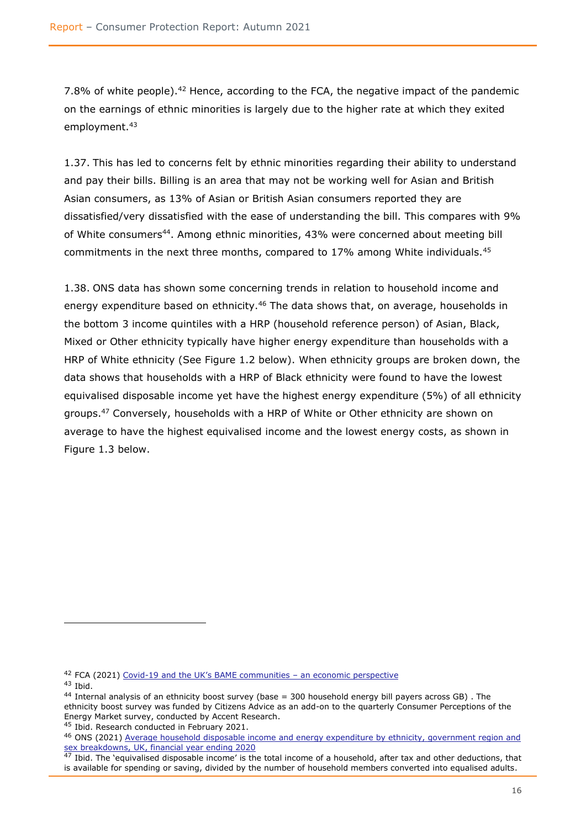7.8% of white people).<sup>42</sup> Hence, according to the FCA, the negative impact of the pandemic on the earnings of ethnic minorities is largely due to the higher rate at which they exited employment.<sup>43</sup>

1.37. This has led to concerns felt by ethnic minorities regarding their ability to understand and pay their bills. Billing is an area that may not be working well for Asian and British Asian consumers, as 13% of Asian or British Asian consumers reported they are dissatisfied/very dissatisfied with the ease of understanding the bill. This compares with 9% of White consumers<sup>44</sup>. Among ethnic minorities, 43% were concerned about meeting bill commitments in the next three months, compared to 17% among White individuals.<sup>45</sup>

1.38. ONS data has shown some concerning trends in relation to household income and energy expenditure based on ethnicity.<sup>46</sup> The data shows that, on average, households in the bottom 3 income quintiles with a HRP (household reference person) of Asian, Black, Mixed or Other ethnicity typically have higher energy expenditure than households with a HRP of White ethnicity (See Figure 1.2 below). When ethnicity groups are broken down, the data shows that households with a HRP of Black ethnicity were found to have the lowest equivalised disposable income yet have the highest energy expenditure (5%) of all ethnicity groups.<sup>47</sup> Conversely, households with a HRP of White or Other ethnicity are shown on average to have the highest equivalised income and the lowest energy costs, as shown in Figure 1.3 below.

 $42$  FCA (2021) Covid-[19 and the UK's BAME communities –](https://www.fca.org.uk/insight/covid-19-and-uk-bame-communities-economic-perspective) an economic perspective

<sup>43</sup> Ibid.

<sup>44</sup> Internal analysis of an ethnicity boost survey (base = 300 household energy bill payers across GB) . The ethnicity boost survey was funded by Citizens Advice as an add-on to the quarterly Consumer Perceptions of the Energy Market survey, conducted by Accent Research.

<sup>45</sup> Ibid. Research conducted in February 2021.

<sup>46</sup> ONS (2021) [Average household disposable income and energy expenditure by ethnicity, government region and](https://www.ons.gov.uk/peoplepopulationandcommunity/personalandhouseholdfinances/incomeandwealth/adhocs/13358averagehouseholddisposableincomeandenergyexpenditurebyethnicitygovernmentregionandsexbreakdownsukfinancialyearending2020)  [sex breakdowns, UK, financial year ending 2020](https://www.ons.gov.uk/peoplepopulationandcommunity/personalandhouseholdfinances/incomeandwealth/adhocs/13358averagehouseholddisposableincomeandenergyexpenditurebyethnicitygovernmentregionandsexbreakdownsukfinancialyearending2020)

 $47$  Ibid. The 'equivalised disposable income' is the total income of a household, after tax and other deductions, that is available for spending or saving, divided by the number of household members converted into equalised adults.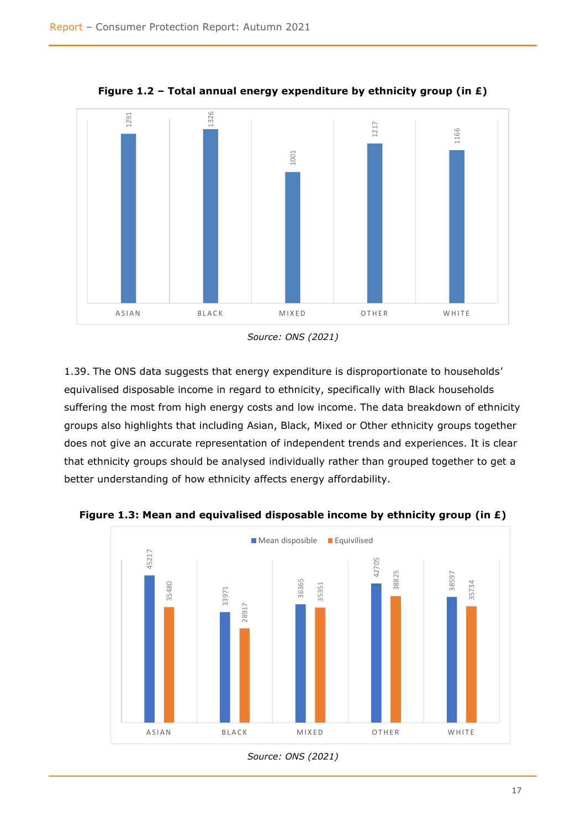

**Figure 1.2 – Total annual energy expenditure by ethnicity group (in £)**

1.39. The ONS data suggests that energy expenditure is disproportionate to households' equivalised disposable income in regard to ethnicity, specifically with Black households suffering the most from high energy costs and low income. The data breakdown of ethnicity groups also highlights that including Asian, Black, Mixed or Other ethnicity groups together does not give an accurate representation of independent trends and experiences. It is clear that ethnicity groups should be analysed individually rather than grouped together to get a better understanding of how ethnicity affects energy affordability.



**Figure 1.3: Mean and equivalised disposable income by ethnicity group (in £)**

*Source: ONS (2021)*

*Source: ONS (2021)*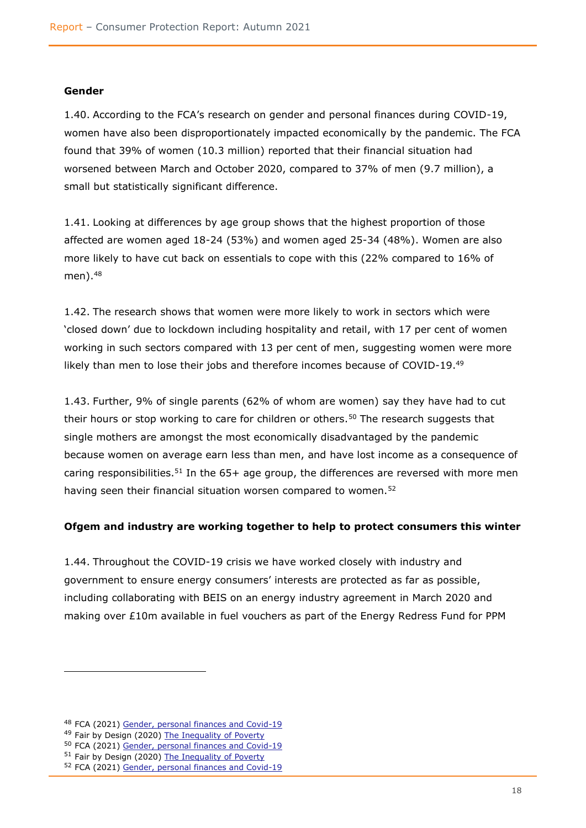#### **Gender**

1.40. According to the FCA's research on gender and personal finances during COVID-19, women have also been disproportionately impacted economically by the pandemic. The FCA found that 39% of women (10.3 million) reported that their financial situation had worsened between March and October 2020, compared to 37% of men (9.7 million), a small but statistically significant difference.

1.41. Looking at differences by age group shows that the highest proportion of those affected are women aged 18-24 (53%) and women aged 25-34 (48%). Women are also more likely to have cut back on essentials to cope with this (22% compared to 16% of  $men)$ .  $48$ 

1.42. The research shows that women were more likely to work in sectors which were 'closed down' due to lockdown including hospitality and retail, with 17 per cent of women working in such sectors compared with 13 per cent of men, suggesting women were more likely than men to lose their jobs and therefore incomes because of COVID-19.<sup>49</sup>

1.43. Further, 9% of single parents (62% of whom are women) say they have had to cut their hours or stop working to care for children or others.<sup>50</sup> The research suggests that single mothers are amongst the most economically disadvantaged by the pandemic because women on average earn less than men, and have lost income as a consequence of caring responsibilities.<sup>51</sup> In the  $65+$  age group, the differences are reversed with more men having seen their financial situation worsen compared to women.<sup>52</sup>

#### **Ofgem and industry are working together to help to protect consumers this winter**

1.44. Throughout the COVID-19 crisis we have worked closely with industry and government to ensure energy consumers' interests are protected as far as possible, including collaborating with BEIS on an energy industry agreement in March 2020 and making over £10m available in fuel vouchers as part of the Energy Redress Fund for PPM

<sup>&</sup>lt;sup>48</sup> FCA (2021) [Gender, personal finances and Covid-19](https://www.fca.org.uk/insight/gender-personal-finances-and-covid-19)

<sup>49</sup> Fair by Design (2020) [The Inequality of Poverty](http://sharepoint2013/cc/ess/cce_cas/CCE_Co_Authoring_Lib/VCP_Covid-19/Winter%202021-22%20Consumer%20support%20project/Affordability%20Report%20(September%2013th%202021)/The%20Inequality%20of%20Poverty)

<sup>50</sup> FCA (2021) [Gender, personal finances and Covid-19](https://www.fca.org.uk/insight/gender-personal-finances-and-covid-19)

<sup>51</sup> Fair by Design (2020) [The Inequality of Poverty](http://sharepoint2013/cc/ess/cce_cas/CCE_Co_Authoring_Lib/VCP_Covid-19/Winter%202021-22%20Consumer%20support%20project/Affordability%20Report%20(September%2013th%202021)/The%20Inequality%20of%20Poverty)

<sup>52</sup> FCA (2021) [Gender, personal finances and Covid-19](https://www.fca.org.uk/insight/gender-personal-finances-and-covid-19)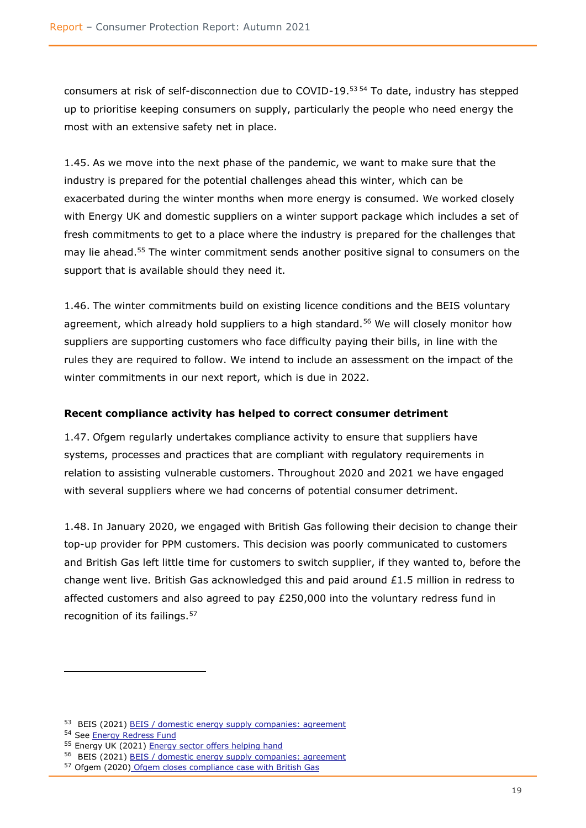consumers at risk of self-disconnection due to COVID-19.<sup>53</sup> <sup>54</sup> To date, industry has stepped up to prioritise keeping consumers on supply, particularly the people who need energy the most with an extensive safety net in place.

1.45. As we move into the next phase of the pandemic, we want to make sure that the industry is prepared for the potential challenges ahead this winter, which can be exacerbated during the winter months when more energy is consumed. We worked closely with Energy UK and domestic suppliers on a winter support package which includes a set of fresh commitments to get to a place where the industry is prepared for the challenges that may lie ahead. <sup>55</sup> The winter commitment sends another positive signal to consumers on the support that is available should they need it.

1.46. The winter commitments build on existing licence conditions and the BEIS voluntary agreement, which already hold suppliers to a high standard.<sup>56</sup> We will closely monitor how suppliers are supporting customers who face difficulty paying their bills, in line with the rules they are required to follow. We intend to include an assessment on the impact of the winter commitments in our next report, which is due in 2022.

## **Recent compliance activity has helped to correct consumer detriment**

1.47. Ofgem regularly undertakes compliance activity to ensure that suppliers have systems, processes and practices that are compliant with regulatory requirements in relation to assisting vulnerable customers. Throughout 2020 and 2021 we have engaged with several suppliers where we had concerns of potential consumer detriment.

1.48. In January 2020, we engaged with British Gas following their decision to change their top-up provider for PPM customers. This decision was poorly communicated to customers and British Gas left little time for customers to switch supplier, if they wanted to, before the change went live. British Gas acknowledged this and paid around  $£1.5$  million in redress to affected customers and also agreed to pay £250,000 into the voluntary redress fund in recognition of its failings.<sup>57</sup>

<sup>53</sup> BEIS (2021) [BEIS / domestic energy supply companies: agreement](https://assets.publishing.service.gov.uk/government/uploads/system/uploads/attachment_data/file/873960/Supplier_Agreement_19.3.2020.pdf)

<sup>54</sup> [See Energy Redress Fund](https://energyredress.org.uk/)

<sup>55</sup> Energy UK (2021) [Energy sector offers helping hand](https://www.energy-uk.org.uk/media-and-campaigns/press-releases/497-2021/7963-energy-sector-offers-helping-hand.html)

<sup>56</sup> BEIS (2021) [BEIS / domestic energy supply companies: agreement](https://assets.publishing.service.gov.uk/government/uploads/system/uploads/attachment_data/file/873960/Supplier_Agreement_19.3.2020.pdf)

<sup>57</sup> Ofgem (2020) [Ofgem closes compliance case with British Gas](https://www.ofgem.gov.uk/publications/ofgem-closes-compliance-case-british-gas-regarding-its-handling-changes-prepayment-meter-customer-top-arrangements-british-gas-makes-payments-totalling-ps173m)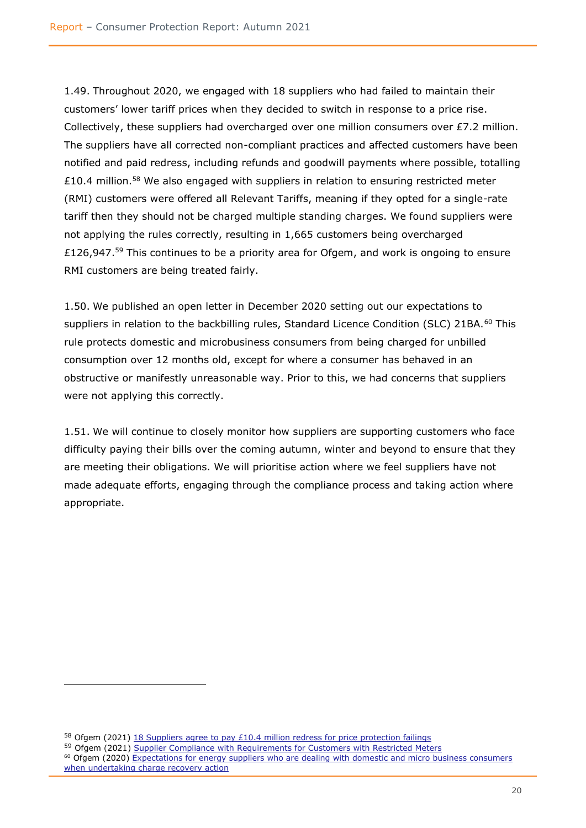1.49. Throughout 2020, we engaged with 18 suppliers who had failed to maintain their customers' lower tariff prices when they decided to switch in response to a price rise. Collectively, these suppliers had overcharged over one million consumers over £7.2 million. The suppliers have all corrected non-compliant practices and affected customers have been notified and paid redress, including refunds and goodwill payments where possible, totalling £10.4 million.<sup>58</sup> We also engaged with suppliers in relation to ensuring restricted meter (RMI) customers were offered all Relevant Tariffs, meaning if they opted for a single-rate tariff then they should not be charged multiple standing charges. We found suppliers were not applying the rules correctly, resulting in 1,665 customers being overcharged £126,947.<sup>59</sup> This continues to be a priority area for Ofgem, and work is ongoing to ensure RMI customers are being treated fairly.

1.50. We published an open letter in December 2020 setting out our expectations to suppliers in relation to the backbilling rules, Standard Licence Condition (SLC) 21BA.<sup>60</sup> This rule protects domestic and microbusiness consumers from being charged for unbilled consumption over 12 months old, except for where a consumer has behaved in an obstructive or manifestly unreasonable way. Prior to this, we had concerns that suppliers were not applying this correctly.

1.51. We will continue to closely monitor how suppliers are supporting customers who face difficulty paying their bills over the coming autumn, winter and beyond to ensure that they are meeting their obligations. We will prioritise action where we feel suppliers have not made adequate efforts, engaging through the compliance process and taking action where appropriate.

<sup>&</sup>lt;sup>58</sup> Ofgem (2021) [18 Suppliers agree to pay £10.4 million redress for price protection failings](https://www.ofgem.gov.uk/publications/18-suppliers-agree-pay-ps104-million-redress-price-protection-failings)

<sup>&</sup>lt;sup>59</sup> Ofgem (2021) [Supplier Compliance with Requirements for Customers with Restricted Meters](https://www.ofgem.gov.uk/publications/supplier-compliance-requirements-customers-restricted-meters) <sup>60</sup> Ofgem (2020) Expectations for energy suppliers who are dealing with domestic and micro business consumers

[when undertaking charge recovery action](https://www.ofgem.gov.uk/publications/expectations-energy-suppliers-who-are-dealing-domestic-and-micro-business-consumers-when-undertaking-charge-recovery-action)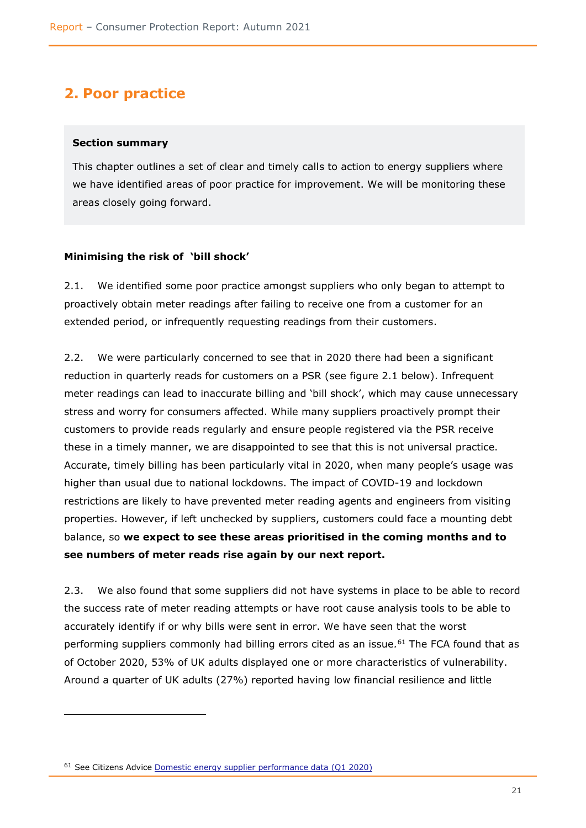# <span id="page-22-0"></span>**2. Poor practice**

#### <span id="page-22-1"></span>**Section summary**

This chapter outlines a set of clear and timely calls to action to energy suppliers where we have identified areas of poor practice for improvement. We will be monitoring these areas closely going forward.

#### <span id="page-22-2"></span>**Minimising the risk of 'bill shock'**

2.1. We identified some poor practice amongst suppliers who only began to attempt to proactively obtain meter readings after failing to receive one from a customer for an extended period, or infrequently requesting readings from their customers.

2.2. We were particularly concerned to see that in 2020 there had been a significant reduction in quarterly reads for customers on a PSR (see figure 2.1 below). Infrequent meter readings can lead to inaccurate billing and 'bill shock', which may cause unnecessary stress and worry for consumers affected. While many suppliers proactively prompt their customers to provide reads regularly and ensure people registered via the PSR receive these in a timely manner, we are disappointed to see that this is not universal practice. Accurate, timely billing has been particularly vital in 2020, when many people's usage was higher than usual due to national lockdowns. The impact of COVID-19 and lockdown restrictions are likely to have prevented meter reading agents and engineers from visiting properties. However, if left unchecked by suppliers, customers could face a mounting debt balance, so **we expect to see these areas prioritised in the coming months and to see numbers of meter reads rise again by our next report.**

2.3. We also found that some suppliers did not have systems in place to be able to record the success rate of meter reading attempts or have root cause analysis tools to be able to accurately identify if or why bills were sent in error. We have seen that the worst performing suppliers commonly had billing errors cited as an issue*.* <sup>61</sup> The FCA found that as of October 2020, 53% of UK adults displayed one or more characteristics of vulnerability. Around a quarter of UK adults (27%) reported having low financial resilience and little

<sup>&</sup>lt;sup>61</sup> See Citizens Advice [Domestic energy supplier performance data \(Q1 2020\)](https://www.citizensadvice.org.uk/about-us/our-work/policy/policy-research-topics/energy-policy-research-and-consultation-responses/energy-policy-research/domestic-energy-supplier-performance-data/)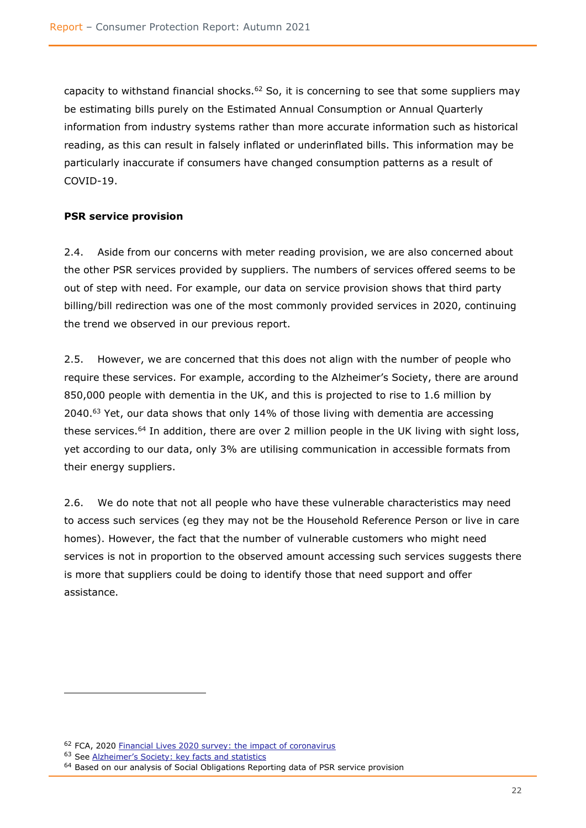capacity to withstand financial shocks.<sup>62</sup> So, it is concerning to see that some suppliers may be estimating bills purely on the Estimated Annual Consumption or Annual Quarterly information from industry systems rather than more accurate information such as historical reading, as this can result in falsely inflated or underinflated bills. This information may be particularly inaccurate if consumers have changed consumption patterns as a result of COVID-19.

## **PSR service provision**

2.4. Aside from our concerns with meter reading provision, we are also concerned about the other PSR services provided by suppliers. The numbers of services offered seems to be out of step with need. For example, our data on service provision shows that third party billing/bill redirection was one of the most commonly provided services in 2020, continuing the trend we observed in our previous report.

2.5. However, we are concerned that this does not align with the number of people who require these services. For example, according to the Alzheimer's Society, there are around 850,000 people with dementia in the UK, and this is projected to rise to 1.6 million by  $2040.^{63}$  Yet, our data shows that only 14% of those living with dementia are accessing these services.<sup>64</sup> In addition, there are over 2 million people in the UK living with sight loss, yet according to our data, only 3% are utilising communication in accessible formats from their energy suppliers.

2.6. We do note that not all people who have these vulnerable characteristics may need to access such services (eg they may not be the Household Reference Person or live in care homes). However, the fact that the number of vulnerable customers who might need services is not in proportion to the observed amount accessing such services suggests there is more that suppliers could be doing to identify those that need support and offer assistance.

<sup>&</sup>lt;sup>62</sup> FCA, 2020 [Financial Lives 2020 survey: the impact of coronavirus](https://www.fca.org.uk/publication/research/financial-lives-survey-2020.pdf)

<sup>63</sup> See [Alzheimer's Society: key facts and statistics](https://www.alzheimers.org.uk/about-us/news-and-media/facts-media#:~:text=There%20are%20currently%20around%20850%2C000,age%20of%2080%20have%20dementia.)

 $64$  Based on our analysis of Social Obligations Reporting data of PSR service provision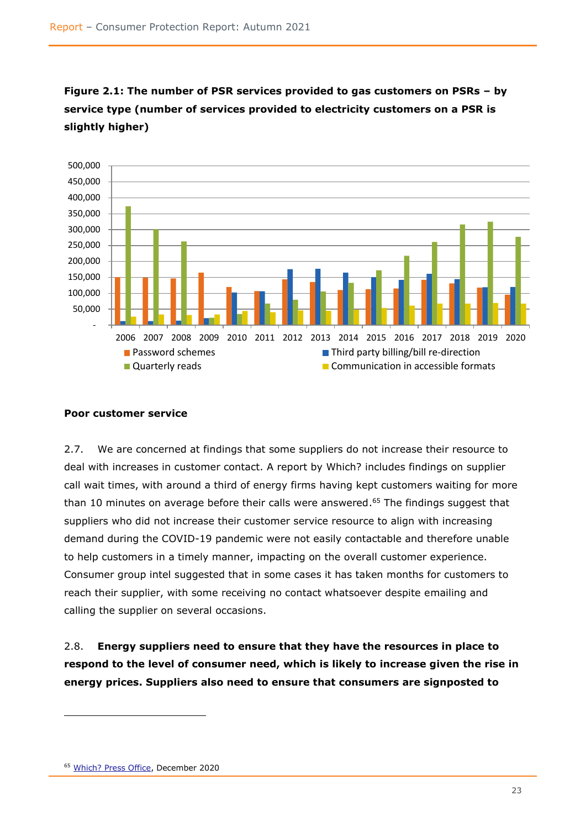

**Figure 2.1: The number of PSR services provided to gas customers on PSRs – by service type (number of services provided to electricity customers on a PSR is slightly higher)**

### <span id="page-24-0"></span>**Poor customer service**

2.7. We are concerned at findings that some suppliers do not increase their resource to deal with increases in customer contact. A report by Which? includes findings on supplier call wait times, with around a third of energy firms having kept customers waiting for more than 10 minutes on average before their calls were answered. <sup>65</sup> The findings suggest that suppliers who did not increase their customer service resource to align with increasing demand during the COVID-19 pandemic were not easily contactable and therefore unable to help customers in a timely manner, impacting on the overall customer experience. Consumer group intel suggested that in some cases it has taken months for customers to reach their supplier, with some receiving no contact whatsoever despite emailing and calling the supplier on several occasions.

2.8. **Energy suppliers need to ensure that they have the resources in place to respond to the level of consumer need, which is likely to increase given the rise in energy prices. Suppliers also need to ensure that consumers are signposted to** 

<sup>65</sup> [Which? Press Office,](https://press.which.co.uk/whichpressreleases/which-reveals-energy-firms-keeping-customers-on-hold-for-longer-than-an-episode-of-corrie/) December 2020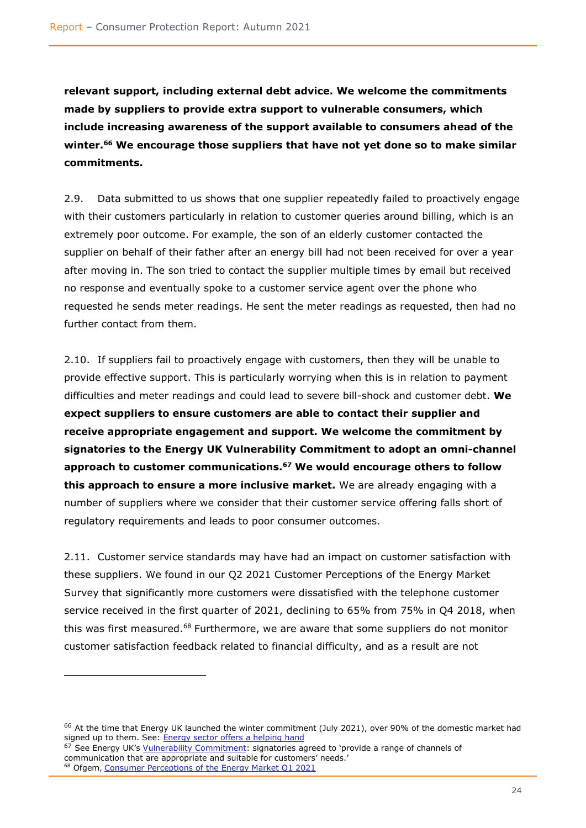**relevant support, including external debt advice. We welcome the commitments made by suppliers to provide extra support to vulnerable consumers, which include increasing awareness of the support available to consumers ahead of the winter.<sup>66</sup> We encourage those suppliers that have not yet done so to make similar commitments.** 

2.9. Data submitted to us shows that one supplier repeatedly failed to proactively engage with their customers particularly in relation to customer queries around billing, which is an extremely poor outcome. For example, the son of an elderly customer contacted the supplier on behalf of their father after an energy bill had not been received for over a year after moving in. The son tried to contact the supplier multiple times by email but received no response and eventually spoke to a customer service agent over the phone who requested he sends meter readings. He sent the meter readings as requested, then had no further contact from them.

2.10. If suppliers fail to proactively engage with customers, then they will be unable to provide effective support. This is particularly worrying when this is in relation to payment difficulties and meter readings and could lead to severe bill-shock and customer debt. **We expect suppliers to ensure customers are able to contact their supplier and receive appropriate engagement and support. We welcome the commitment by signatories to the Energy UK Vulnerability Commitment to adopt an omni-channel approach to customer communications.<sup>67</sup> We would encourage others to follow this approach to ensure a more inclusive market.** We are already engaging with a number of suppliers where we consider that their customer service offering falls short of regulatory requirements and leads to poor consumer outcomes.

2.11. Customer service standards may have had an impact on customer satisfaction with these suppliers. We found in our Q2 2021 Customer Perceptions of the Energy Market Survey that significantly more customers were dissatisfied with the telephone customer service received in the first quarter of 2021, declining to 65% from 75% in Q4 2018, when this was first measured.<sup>68</sup> Furthermore, we are aware that some suppliers do not monitor customer satisfaction feedback related to financial difficulty, and as a result are not

<sup>&</sup>lt;sup>66</sup> At the time that Energy UK launched the winter commitment (July 2021), over 90% of the domestic market had signed up to them. See: [Energy sector offers a helping hand](https://www.energy-uk.org.uk/media-and-campaigns/press-releases/497-2021/7963-energy-sector-offers-helping-hand.html)

 $67$  See Energy UK's  $Yulnerability Commitment: signatories agreed to 'provide a range of channels of$ </u> communication that are appropriate and suitable for customers' needs.' <sup>68</sup> Ofgem, [Consumer Perceptions of the Energy Market Q1 2021](https://www.ofgem.gov.uk/sites/default/files/2021-06/consumer_perceptions_of_the_energy_market_q1_2021_v1.pdf)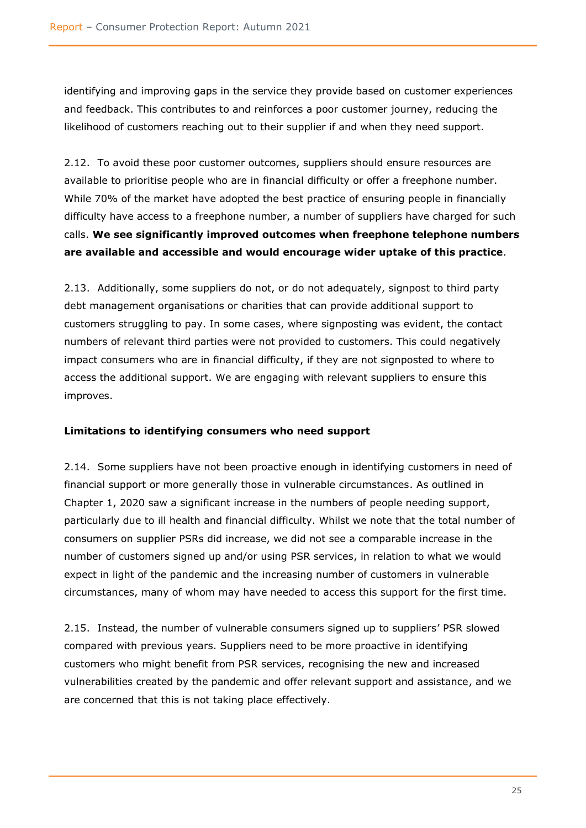identifying and improving gaps in the service they provide based on customer experiences and feedback. This contributes to and reinforces a poor customer journey, reducing the likelihood of customers reaching out to their supplier if and when they need support.

2.12. To avoid these poor customer outcomes, suppliers should ensure resources are available to prioritise people who are in financial difficulty or offer a freephone number. While 70% of the market have adopted the best practice of ensuring people in financially difficulty have access to a freephone number, a number of suppliers have charged for such calls. **We see significantly improved outcomes when freephone telephone numbers are available and accessible and would encourage wider uptake of this practice**.

2.13. Additionally, some suppliers do not, or do not adequately, signpost to third party debt management organisations or charities that can provide additional support to customers struggling to pay. In some cases, where signposting was evident, the contact numbers of relevant third parties were not provided to customers. This could negatively impact consumers who are in financial difficulty, if they are not signposted to where to access the additional support. We are engaging with relevant suppliers to ensure this improves.

#### <span id="page-26-0"></span>**Limitations to identifying consumers who need support**

2.14. Some suppliers have not been proactive enough in identifying customers in need of financial support or more generally those in vulnerable circumstances. As outlined in Chapter 1, 2020 saw a significant increase in the numbers of people needing support, particularly due to ill health and financial difficulty. Whilst we note that the total number of consumers on supplier PSRs did increase, we did not see a comparable increase in the number of customers signed up and/or using PSR services, in relation to what we would expect in light of the pandemic and the increasing number of customers in vulnerable circumstances, many of whom may have needed to access this support for the first time.

2.15. Instead, the number of vulnerable consumers signed up to suppliers' PSR slowed compared with previous years. Suppliers need to be more proactive in identifying customers who might benefit from PSR services, recognising the new and increased vulnerabilities created by the pandemic and offer relevant support and assistance, and we are concerned that this is not taking place effectively.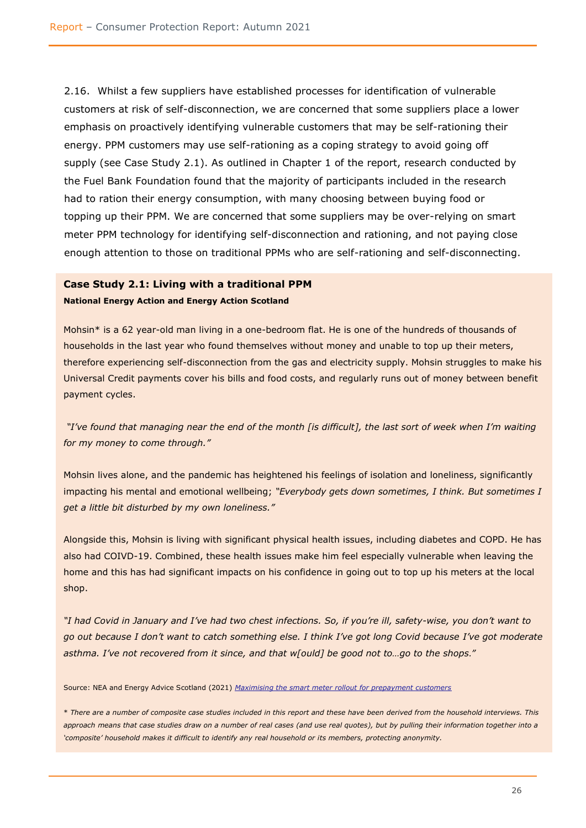2.16. Whilst a few suppliers have established processes for identification of vulnerable customers at risk of self-disconnection, we are concerned that some suppliers place a lower emphasis on proactively identifying vulnerable customers that may be self-rationing their energy. PPM customers may use self-rationing as a coping strategy to avoid going off supply (see Case Study 2.1). As outlined in Chapter 1 of the report, research conducted by the Fuel Bank Foundation found that the majority of participants included in the research had to ration their energy consumption, with many choosing between buying food or topping up their PPM. We are concerned that some suppliers may be over-relying on smart meter PPM technology for identifying self-disconnection and rationing, and not paying close enough attention to those on traditional PPMs who are self-rationing and self-disconnecting.

# **Case Study 2.1: Living with a traditional PPM**

**National Energy Action and Energy Action Scotland**

Mohsin\* is a 62 year-old man living in a one-bedroom flat. He is one of the hundreds of thousands of households in the last year who found themselves without money and unable to top up their meters, therefore experiencing self-disconnection from the gas and electricity supply. Mohsin struggles to make his Universal Credit payments cover his bills and food costs, and regularly runs out of money between benefit payment cycles.

*"I've found that managing near the end of the month [is difficult], the last sort of week when I'm waiting for my money to come through."*

Mohsin lives alone, and the pandemic has heightened his feelings of isolation and loneliness, significantly impacting his mental and emotional wellbeing; *"Everybody gets down sometimes, I think. But sometimes I get a little bit disturbed by my own loneliness."*

Alongside this, Mohsin is living with significant physical health issues, including diabetes and COPD. He has also had COIVD-19. Combined, these health issues make him feel especially vulnerable when leaving the home and this has had significant impacts on his confidence in going out to top up his meters at the local shop.

*"I had Covid in January and I've had two chest infections. So, if you're ill, safety-wise, you don't want to go out because I don't want to catch something else. I think I've got long Covid because I've got moderate asthma. I've not recovered from it since, and that w[ould] be good not to…go to the shops."*

Source: NEA and Energy Advice Scotland (2021) *[Maximising the smart meter rollout for prepayment customers](https://www.nea.org.uk/wp-content/uploads/2021/06/Smart-Prepay-Full-Report.pdf)*

\* *There are a number of composite case studies included in this report and these have been derived from the household interviews. This approach means that case studies draw on a number of real cases (and use real quotes), but by pulling their information together into a 'composite' household makes it difficult to identify any real household or its members, protecting anonymity.*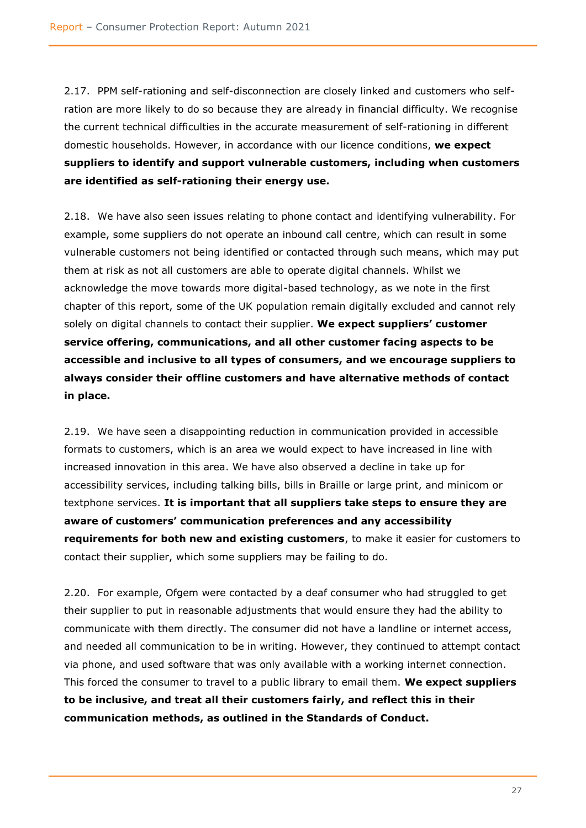2.17. PPM self-rationing and self-disconnection are closely linked and customers who selfration are more likely to do so because they are already in financial difficulty. We recognise the current technical difficulties in the accurate measurement of self-rationing in different domestic households. However, in accordance with our licence conditions, **we expect suppliers to identify and support vulnerable customers, including when customers are identified as self-rationing their energy use.**

2.18. We have also seen issues relating to phone contact and identifying vulnerability. For example, some suppliers do not operate an inbound call centre, which can result in some vulnerable customers not being identified or contacted through such means, which may put them at risk as not all customers are able to operate digital channels. Whilst we acknowledge the move towards more digital-based technology, as we note in the first chapter of this report, some of the UK population remain digitally excluded and cannot rely solely on digital channels to contact their supplier. **We expect suppliers' customer service offering, communications, and all other customer facing aspects to be accessible and inclusive to all types of consumers, and we encourage suppliers to always consider their offline customers and have alternative methods of contact in place.**

2.19. We have seen a disappointing reduction in communication provided in accessible formats to customers, which is an area we would expect to have increased in line with increased innovation in this area. We have also observed a decline in take up for accessibility services, including talking bills, bills in Braille or large print, and minicom or textphone services. **It is important that all suppliers take steps to ensure they are aware of customers' communication preferences and any accessibility requirements for both new and existing customers**, to make it easier for customers to contact their supplier, which some suppliers may be failing to do.

2.20. For example, Ofgem were contacted by a deaf consumer who had struggled to get their supplier to put in reasonable adjustments that would ensure they had the ability to communicate with them directly. The consumer did not have a landline or internet access, and needed all communication to be in writing. However, they continued to attempt contact via phone, and used software that was only available with a working internet connection. This forced the consumer to travel to a public library to email them. **We expect suppliers to be inclusive, and treat all their customers fairly, and reflect this in their communication methods, as outlined in the Standards of Conduct.**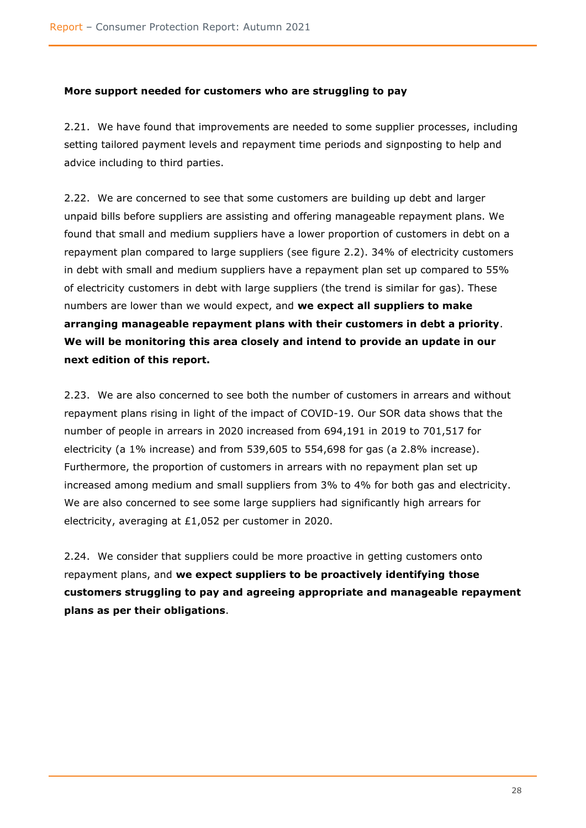## <span id="page-29-0"></span>**More support needed for customers who are struggling to pay**

2.21. We have found that improvements are needed to some supplier processes, including setting tailored payment levels and repayment time periods and signposting to help and advice including to third parties.

2.22. We are concerned to see that some customers are building up debt and larger unpaid bills before suppliers are assisting and offering manageable repayment plans. We found that small and medium suppliers have a lower proportion of customers in debt on a repayment plan compared to large suppliers (see figure 2.2). 34% of electricity customers in debt with small and medium suppliers have a repayment plan set up compared to 55% of electricity customers in debt with large suppliers (the trend is similar for gas). These numbers are lower than we would expect, and **we expect all suppliers to make arranging manageable repayment plans with their customers in debt a priority**. **We will be monitoring this area closely and intend to provide an update in our next edition of this report.**

2.23. We are also concerned to see both the number of customers in arrears and without repayment plans rising in light of the impact of COVID-19. Our SOR data shows that the number of people in arrears in 2020 increased from 694,191 in 2019 to 701,517 for electricity (a 1% increase) and from 539,605 to 554,698 for gas (a 2.8% increase). Furthermore, the proportion of customers in arrears with no repayment plan set up increased among medium and small suppliers from 3% to 4% for both gas and electricity. We are also concerned to see some large suppliers had significantly high arrears for electricity, averaging at £1,052 per customer in 2020.

2.24. We consider that suppliers could be more proactive in getting customers onto repayment plans, and **we expect suppliers to be proactively identifying those customers struggling to pay and agreeing appropriate and manageable repayment plans as per their obligations**.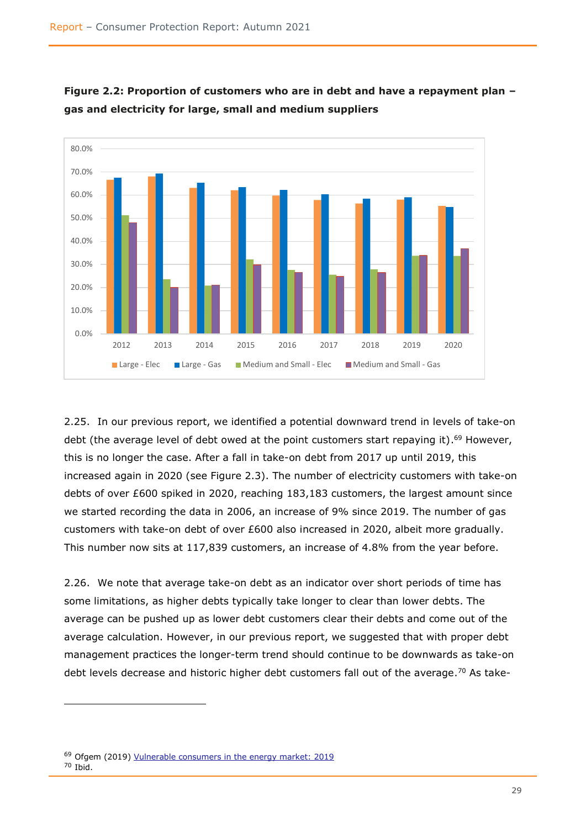

**Figure 2.2: Proportion of customers who are in debt and have a repayment plan – gas and electricity for large, small and medium suppliers**

2.25. In our previous report, we identified a potential downward trend in levels of take-on debt (the average level of debt owed at the point customers start repaying it).<sup>69</sup> However, this is no longer the case. After a fall in take-on debt from 2017 up until 2019, this increased again in 2020 (see Figure 2.3). The number of electricity customers with take-on debts of over £600 spiked in 2020, reaching 183,183 customers, the largest amount since we started recording the data in 2006, an increase of 9% since 2019. The number of gas customers with take-on debt of over £600 also increased in 2020, albeit more gradually. This number now sits at 117,839 customers, an increase of 4.8% from the year before.

2.26. We note that average take-on debt as an indicator over short periods of time has some limitations, as higher debts typically take longer to clear than lower debts. The average can be pushed up as lower debt customers clear their debts and come out of the average calculation. However, in our previous report, we suggested that with proper debt management practices the longer-term trend should continue to be downwards as take-on debt levels decrease and historic higher debt customers fall out of the average.<sup>70</sup> As take-

<sup>69</sup> Ofgem (2019) [Vulnerable consumers in the energy market: 2019](https://www.ofgem.gov.uk/publications/vulnerable-consumers-energy-market-2019) <sup>70</sup> Ibid.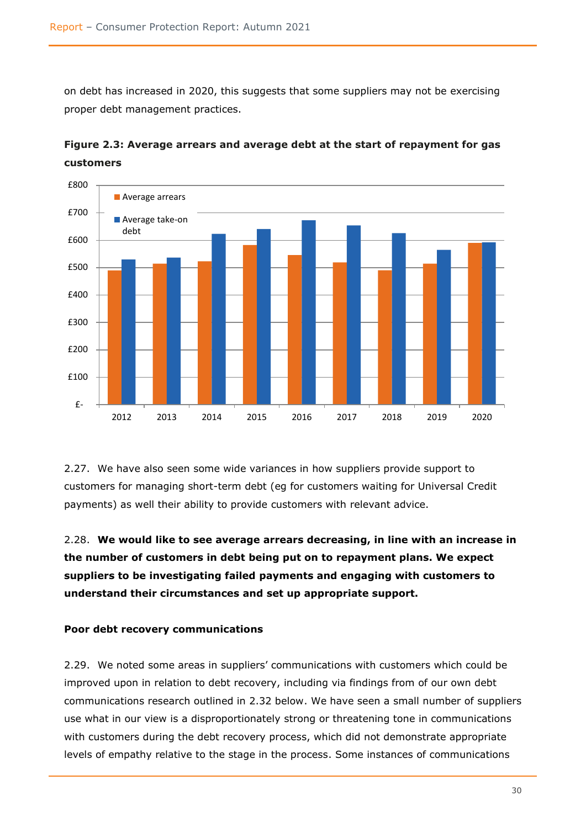on debt has increased in 2020, this suggests that some suppliers may not be exercising proper debt management practices.



**Figure 2.3: Average arrears and average debt at the start of repayment for gas customers**

2.27. We have also seen some wide variances in how suppliers provide support to customers for managing short-term debt (eg for customers waiting for Universal Credit payments) as well their ability to provide customers with relevant advice.

2.28. **We would like to see average arrears decreasing, in line with an increase in the number of customers in debt being put on to repayment plans. We expect suppliers to be investigating failed payments and engaging with customers to understand their circumstances and set up appropriate support.**

#### <span id="page-31-0"></span>**Poor debt recovery communications**

2.29. We noted some areas in suppliers' communications with customers which could be improved upon in relation to debt recovery, including via findings from of our own debt communications research outlined in 2.32 below. We have seen a small number of suppliers use what in our view is a disproportionately strong or threatening tone in communications with customers during the debt recovery process, which did not demonstrate appropriate levels of empathy relative to the stage in the process. Some instances of communications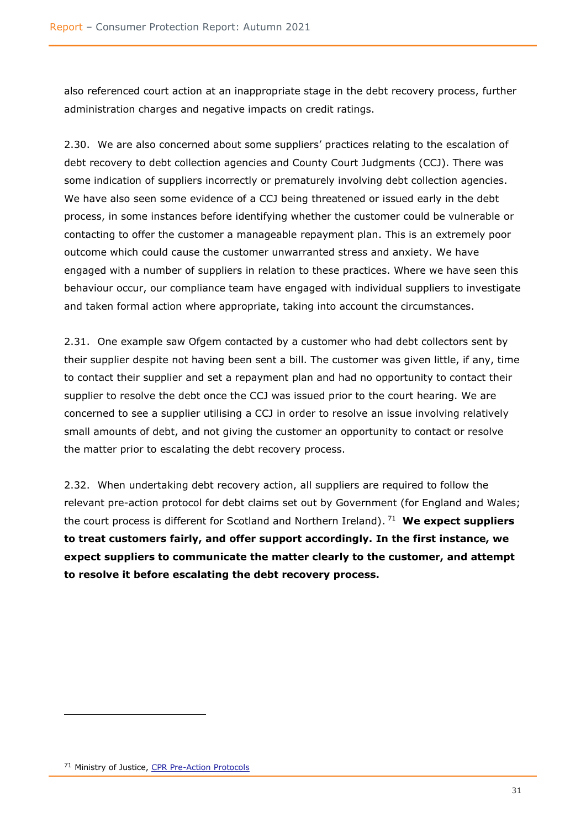also referenced court action at an inappropriate stage in the debt recovery process, further administration charges and negative impacts on credit ratings.

2.30. We are also concerned about some suppliers' practices relating to the escalation of debt recovery to debt collection agencies and County Court Judgments (CCJ). There was some indication of suppliers incorrectly or prematurely involving debt collection agencies. We have also seen some evidence of a CCJ being threatened or issued early in the debt process, in some instances before identifying whether the customer could be vulnerable or contacting to offer the customer a manageable repayment plan. This is an extremely poor outcome which could cause the customer unwarranted stress and anxiety. We have engaged with a number of suppliers in relation to these practices. Where we have seen this behaviour occur, our compliance team have engaged with individual suppliers to investigate and taken formal action where appropriate, taking into account the circumstances.

2.31. One example saw Ofgem contacted by a customer who had debt collectors sent by their supplier despite not having been sent a bill. The customer was given little, if any, time to contact their supplier and set a repayment plan and had no opportunity to contact their supplier to resolve the debt once the CCJ was issued prior to the court hearing. We are concerned to see a supplier utilising a CCJ in order to resolve an issue involving relatively small amounts of debt, and not giving the customer an opportunity to contact or resolve the matter prior to escalating the debt recovery process.

2.32. When undertaking debt recovery action, all suppliers are required to follow the relevant pre-action protocol for debt claims set out by Government (for England and Wales; the court process is different for Scotland and Northern Ireland). <sup>71</sup> **We expect suppliers to treat customers fairly, and offer support accordingly. In the first instance, we expect suppliers to communicate the matter clearly to the customer, and attempt to resolve it before escalating the debt recovery process.**

<sup>&</sup>lt;sup>71</sup> Ministry of Justice, [CPR Pre-Action Protocols](https://www.justice.gov.uk/courts/procedure-rules/civil/protocol)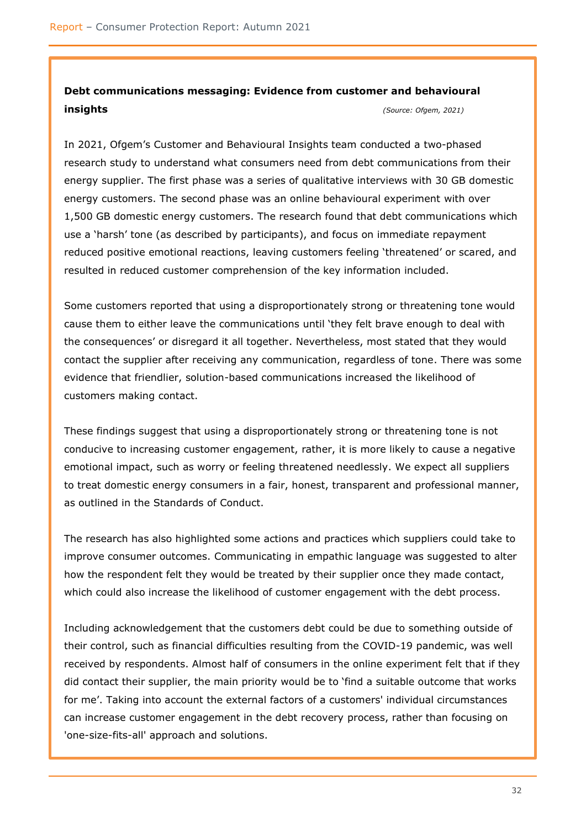# **Debt communications messaging: Evidence from customer and behavioural insights** *(Source: Ofgem, 2021)*

In 2021, Ofgem's Customer and Behavioural Insights team conducted a two-phased research study to understand what consumers need from debt communications from their energy supplier. The first phase was a series of qualitative interviews with 30 GB domestic energy customers. The second phase was an online behavioural experiment with over 1,500 GB domestic energy customers. The research found that debt communications which use a 'harsh' tone (as described by participants), and focus on immediate repayment reduced positive emotional reactions, leaving customers feeling 'threatened' or scared, and resulted in reduced customer comprehension of the key information included.

Some customers reported that using a disproportionately strong or threatening tone would cause them to either leave the communications until 'they felt brave enough to deal with the consequences' or disregard it all together. Nevertheless, most stated that they would contact the supplier after receiving any communication, regardless of tone. There was some evidence that friendlier, solution-based communications increased the likelihood of customers making contact.

These findings suggest that using a disproportionately strong or threatening tone is not conducive to increasing customer engagement, rather, it is more likely to cause a negative emotional impact, such as worry or feeling threatened needlessly. We expect all suppliers to treat domestic energy consumers in a fair, honest, transparent and professional manner, as outlined in the Standards of Conduct.

The research has also highlighted some actions and practices which suppliers could take to improve consumer outcomes. Communicating in empathic language was suggested to alter how the respondent felt they would be treated by their supplier once they made contact, which could also increase the likelihood of customer engagement with the debt process.

Including acknowledgement that the customers debt could be due to something outside of their control, such as financial difficulties resulting from the COVID-19 pandemic, was well received by respondents. Almost half of consumers in the online experiment felt that if they did contact their supplier, the main priority would be to 'find a suitable outcome that works for me'. Taking into account the external factors of a customers' individual circumstances can increase customer engagement in the debt recovery process, rather than focusing on 'one-size-fits-all' approach and solutions.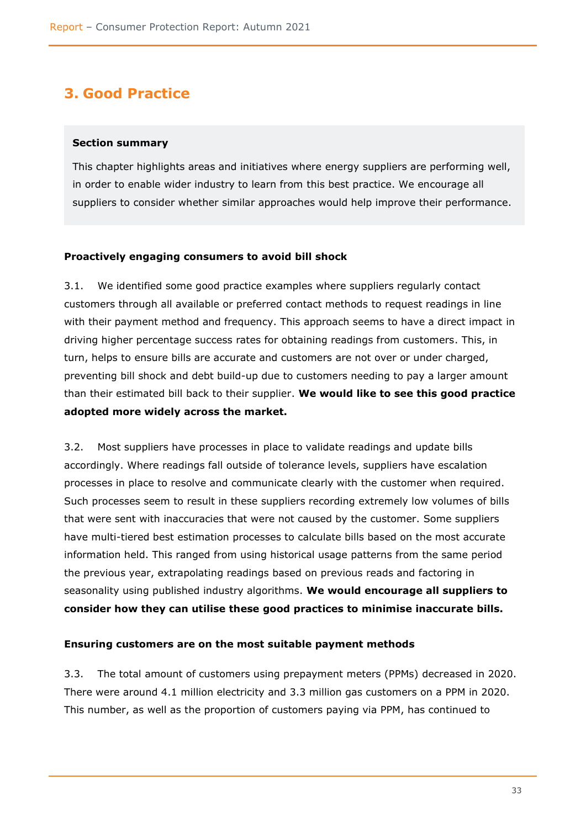# <span id="page-34-0"></span>**3. Good Practice**

### <span id="page-34-1"></span>**Section summary**

This chapter highlights areas and initiatives where energy suppliers are performing well, in order to enable wider industry to learn from this best practice. We encourage all suppliers to consider whether similar approaches would help improve their performance.

## <span id="page-34-2"></span>**Proactively engaging consumers to avoid bill shock**

3.1. We identified some good practice examples where suppliers regularly contact customers through all available or preferred contact methods to request readings in line with their payment method and frequency. This approach seems to have a direct impact in driving higher percentage success rates for obtaining readings from customers. This, in turn, helps to ensure bills are accurate and customers are not over or under charged, preventing bill shock and debt build-up due to customers needing to pay a larger amount than their estimated bill back to their supplier. **We would like to see this good practice adopted more widely across the market.**

3.2. Most suppliers have processes in place to validate readings and update bills accordingly. Where readings fall outside of tolerance levels, suppliers have escalation processes in place to resolve and communicate clearly with the customer when required. Such processes seem to result in these suppliers recording extremely low volumes of bills that were sent with inaccuracies that were not caused by the customer. Some suppliers have multi-tiered best estimation processes to calculate bills based on the most accurate information held. This ranged from using historical usage patterns from the same period the previous year, extrapolating readings based on previous reads and factoring in seasonality using published industry algorithms. **We would encourage all suppliers to consider how they can utilise these good practices to minimise inaccurate bills.** 

#### <span id="page-34-3"></span>**Ensuring customers are on the most suitable payment methods**

3.3. The total amount of customers using prepayment meters (PPMs) decreased in 2020. There were around 4.1 million electricity and 3.3 million gas customers on a PPM in 2020. This number, as well as the proportion of customers paying via PPM, has continued to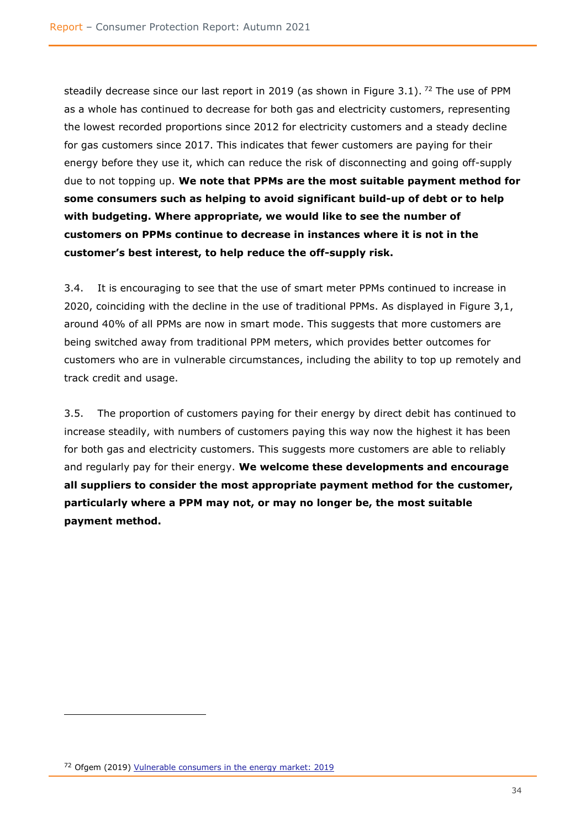steadily decrease since our last report in 2019 (as shown in Figure 3.1). <sup>72</sup> The use of PPM as a whole has continued to decrease for both gas and electricity customers, representing the lowest recorded proportions since 2012 for electricity customers and a steady decline for gas customers since 2017. This indicates that fewer customers are paying for their energy before they use it, which can reduce the risk of disconnecting and going off-supply due to not topping up. **We note that PPMs are the most suitable payment method for some consumers such as helping to avoid significant build-up of debt or to help with budgeting. Where appropriate, we would like to see the number of customers on PPMs continue to decrease in instances where it is not in the customer's best interest, to help reduce the off-supply risk.**

3.4. It is encouraging to see that the use of smart meter PPMs continued to increase in 2020, coinciding with the decline in the use of traditional PPMs. As displayed in Figure 3,1, around 40% of all PPMs are now in smart mode. This suggests that more customers are being switched away from traditional PPM meters, which provides better outcomes for customers who are in vulnerable circumstances, including the ability to top up remotely and track credit and usage.

3.5. The proportion of customers paying for their energy by direct debit has continued to increase steadily, with numbers of customers paying this way now the highest it has been for both gas and electricity customers. This suggests more customers are able to reliably and regularly pay for their energy. **We welcome these developments and encourage all suppliers to consider the most appropriate payment method for the customer, particularly where a PPM may not, or may no longer be, the most suitable payment method.**

<sup>72</sup> Ofgem (2019) [Vulnerable consumers in the energy market: 2019](https://www.ofgem.gov.uk/publications/vulnerable-consumers-energy-market-2019)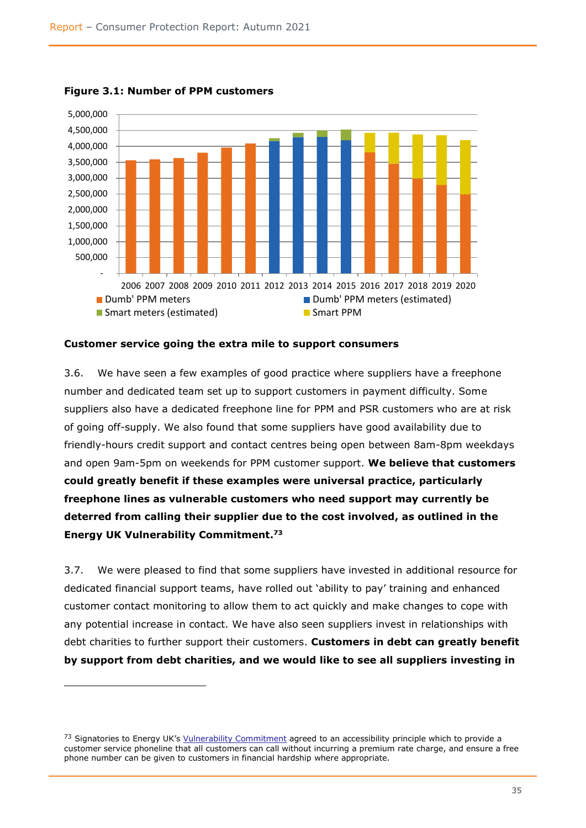

**Figure 3.1: Number of PPM customers**

#### <span id="page-36-0"></span>**Customer service going the extra mile to support consumers**

3.6. We have seen a few examples of good practice where suppliers have a freephone number and dedicated team set up to support customers in payment difficulty. Some suppliers also have a dedicated freephone line for PPM and PSR customers who are at risk of going off-supply. We also found that some suppliers have good availability due to friendly-hours credit support and contact centres being open between 8am-8pm weekdays and open 9am-5pm on weekends for PPM customer support. **We believe that customers could greatly benefit if these examples were universal practice, particularly freephone lines as vulnerable customers who need support may currently be deterred from calling their supplier due to the cost involved, as outlined in the Energy UK Vulnerability Commitment. 73**

3.7. We were pleased to find that some suppliers have invested in additional resource for dedicated financial support teams, have rolled out 'ability to pay' training and enhanced customer contact monitoring to allow them to act quickly and make changes to cope with any potential increase in contact. We have also seen suppliers invest in relationships with debt charities to further support their customers. **Customers in debt can greatly benefit by support from debt charities, and we would like to see all suppliers investing in** 

<sup>73</sup> Signatories to Energy UK's [Vulnerability Commitment](https://www.energy-uk.org.uk/publication.html?task=file.download&id=7584) agreed to an accessibility principle which to provide a customer service phoneline that all customers can call without incurring a premium rate charge, and ensure a free phone number can be given to customers in financial hardship where appropriate.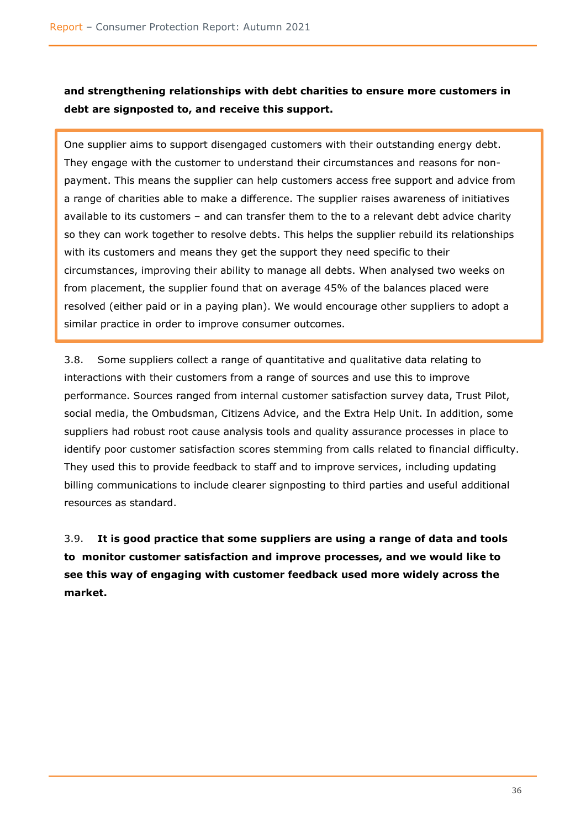# **and strengthening relationships with debt charities to ensure more customers in debt are signposted to, and receive this support.**

One supplier aims to support disengaged customers with their outstanding energy debt. They engage with the customer to understand their circumstances and reasons for nonpayment. This means the supplier can help customers access free support and advice from a range of charities able to make a difference. The supplier raises awareness of initiatives available to its customers – and can transfer them to the to a relevant debt advice charity so they can work together to resolve debts. This helps the supplier rebuild its relationships with its customers and means they get the support they need specific to their circumstances, improving their ability to manage all debts. When analysed two weeks on from placement, the supplier found that on average 45% of the balances placed were resolved (either paid or in a paying plan). We would encourage other suppliers to adopt a similar practice in order to improve consumer outcomes.

3.8. Some suppliers collect a range of quantitative and qualitative data relating to interactions with their customers from a range of sources and use this to improve performance. Sources ranged from internal customer satisfaction survey data, Trust Pilot, social media, the Ombudsman, Citizens Advice, and the Extra Help Unit. In addition, some suppliers had robust root cause analysis tools and quality assurance processes in place to identify poor customer satisfaction scores stemming from calls related to financial difficulty. They used this to provide feedback to staff and to improve services, including updating billing communications to include clearer signposting to third parties and useful additional resources as standard.

<span id="page-37-0"></span>3.9. **It is good practice that some suppliers are using a range of data and tools to monitor customer satisfaction and improve processes, and we would like to see this way of engaging with customer feedback used more widely across the market.**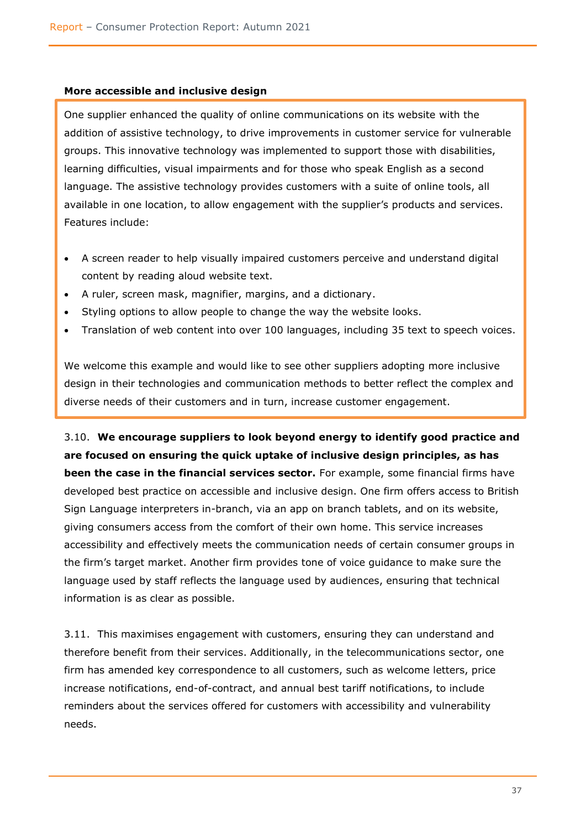#### **More accessible and inclusive design**

One supplier enhanced the quality of online communications on its website with the addition of assistive technology, to drive improvements in customer service for vulnerable groups. This innovative technology was implemented to support those with disabilities, learning difficulties, visual impairments and for those who speak English as a second language. The assistive technology provides customers with a suite of online tools, all available in one location, to allow engagement with the supplier's products and services. Features include:

- A screen reader to help visually impaired customers perceive and understand digital content by reading aloud website text.
- A ruler, screen mask, magnifier, margins, and a dictionary.
- Styling options to allow people to change the way the website looks.
- Translation of web content into over 100 languages, including 35 text to speech voices.

We welcome this example and would like to see other suppliers adopting more inclusive design in their technologies and communication methods to better reflect the complex and diverse needs of their customers and in turn, increase customer engagement.

3.10. **We encourage suppliers to look beyond energy to identify good practice and are focused on ensuring the quick uptake of inclusive design principles, as has been the case in the financial services sector.** For example, some financial firms have developed best practice on accessible and inclusive design. One firm offers access to British Sign Language interpreters in-branch, via an app on branch tablets, and on its website, giving consumers access from the comfort of their own home. This service increases accessibility and effectively meets the communication needs of certain consumer groups in the firm's target market. Another firm provides tone of voice guidance to make sure the language used by staff reflects the language used by audiences, ensuring that technical information is as clear as possible.

3.11. This maximises engagement with customers, ensuring they can understand and therefore benefit from their services. Additionally, in the telecommunications sector, one firm has amended key correspondence to all customers, such as welcome letters, price increase notifications, end-of-contract, and annual best tariff notifications, to include reminders about the services offered for customers with accessibility and vulnerability needs.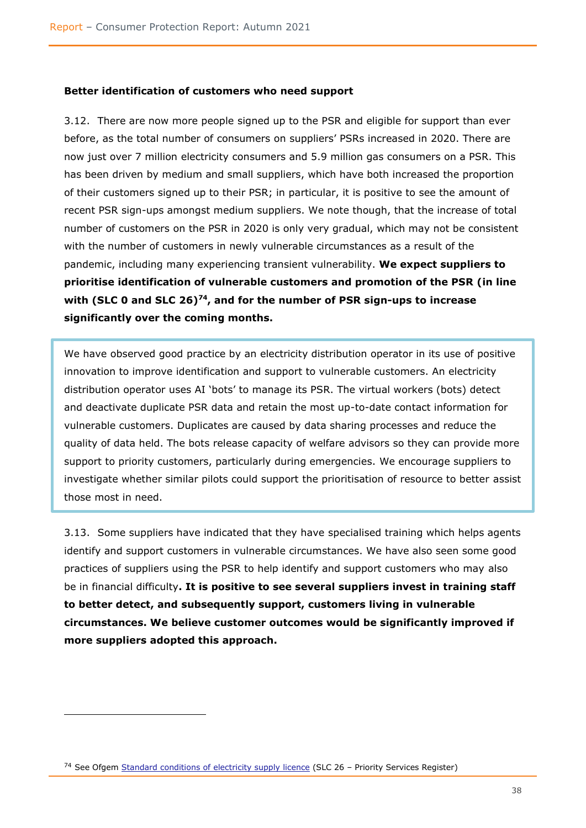#### <span id="page-39-0"></span>**Better identification of customers who need support**

3.12. There are now more people signed up to the PSR and eligible for support than ever before, as the total number of consumers on suppliers' PSRs increased in 2020. There are now just over 7 million electricity consumers and 5.9 million gas consumers on a PSR. This has been driven by medium and small suppliers, which have both increased the proportion of their customers signed up to their PSR; in particular, it is positive to see the amount of recent PSR sign-ups amongst medium suppliers. We note though, that the increase of total number of customers on the PSR in 2020 is only very gradual, which may not be consistent with the number of customers in newly vulnerable circumstances as a result of the pandemic, including many experiencing transient vulnerability. **We expect suppliers to prioritise identification of vulnerable customers and promotion of the PSR (in line with (SLC 0 and SLC 26)<sup>74</sup>, and for the number of PSR sign-ups to increase significantly over the coming months.** 

We have observed good practice by an electricity distribution operator in its use of positive innovation to improve identification and support to vulnerable customers. An electricity distribution operator uses AI 'bots' to manage its PSR. The virtual workers (bots) detect and deactivate duplicate PSR data and retain the most up-to-date contact information for vulnerable customers. Duplicates are caused by data sharing processes and reduce the quality of data held. The bots release capacity of welfare advisors so they can provide more support to priority customers, particularly during emergencies. We encourage suppliers to investigate whether similar pilots could support the prioritisation of resource to better assist those most in need.

3.13. Some suppliers have indicated that they have specialised training which helps agents identify and support customers in vulnerable circumstances. We have also seen some good practices of suppliers using the PSR to help identify and support customers who may also be in financial difficulty**. It is positive to see several suppliers invest in training staff to better detect, and subsequently support, customers living in vulnerable circumstances. We believe customer outcomes would be significantly improved if more suppliers adopted this approach.** 

<sup>&</sup>lt;sup>74</sup> See Ofgem [Standard conditions of electricity supply licence](https://epr.ofgem.gov.uk/Content/Documents/Electricity%20Supply%20Standard%20Licence%20Conditions%20Consolidated%20-%20Current%20Version.pdf) (SLC 26 - Priority Services Register)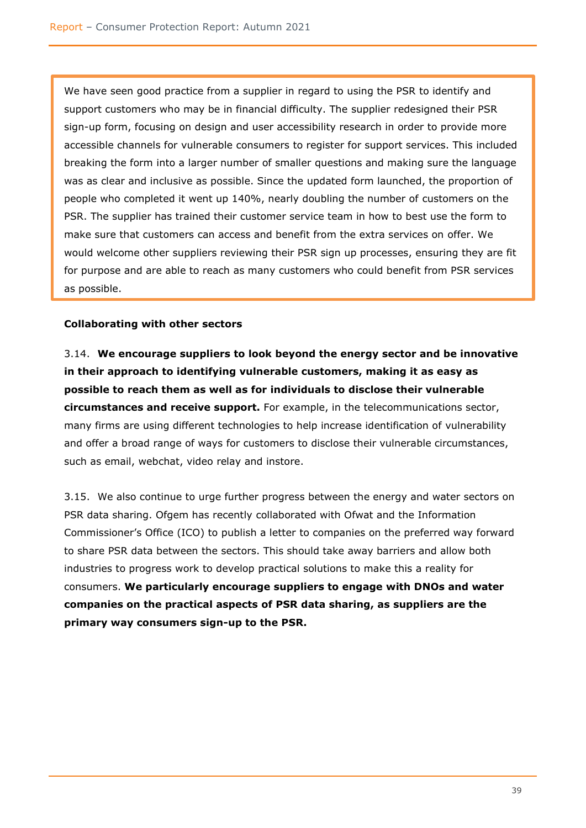We have seen good practice from a supplier in regard to using the PSR to identify and support customers who may be in financial difficulty. The supplier redesigned their PSR sign-up form, focusing on design and user accessibility research in order to provide more accessible channels for vulnerable consumers to register for support services. This included breaking the form into a larger number of smaller questions and making sure the language was as clear and inclusive as possible. Since the updated form launched, the proportion of people who completed it went up 140%, nearly doubling the number of customers on the PSR. The supplier has trained their customer service team in how to best use the form to make sure that customers can access and benefit from the extra services on offer. We would welcome other suppliers reviewing their PSR sign up processes, ensuring they are fit for purpose and are able to reach as many customers who could benefit from PSR services as possible.

## <span id="page-40-0"></span>**Collaborating with other sectors**

3.14. **We encourage suppliers to look beyond the energy sector and be innovative in their approach to identifying vulnerable customers, making it as easy as possible to reach them as well as for individuals to disclose their vulnerable circumstances and receive support.** For example, in the telecommunications sector, many firms are using different technologies to help increase identification of vulnerability and offer a broad range of ways for customers to disclose their vulnerable circumstances, such as email, webchat, video relay and instore.

3.15. We also continue to urge further progress between the energy and water sectors on PSR data sharing. Ofgem has recently collaborated with Ofwat and the Information Commissioner's Office (ICO) to publish a letter to companies on the preferred way forward to share PSR data between the sectors. This should take away barriers and allow both industries to progress work to develop practical solutions to make this a reality for consumers. **We particularly encourage suppliers to engage with DNOs and water companies on the practical aspects of PSR data sharing, as suppliers are the primary way consumers sign-up to the PSR.**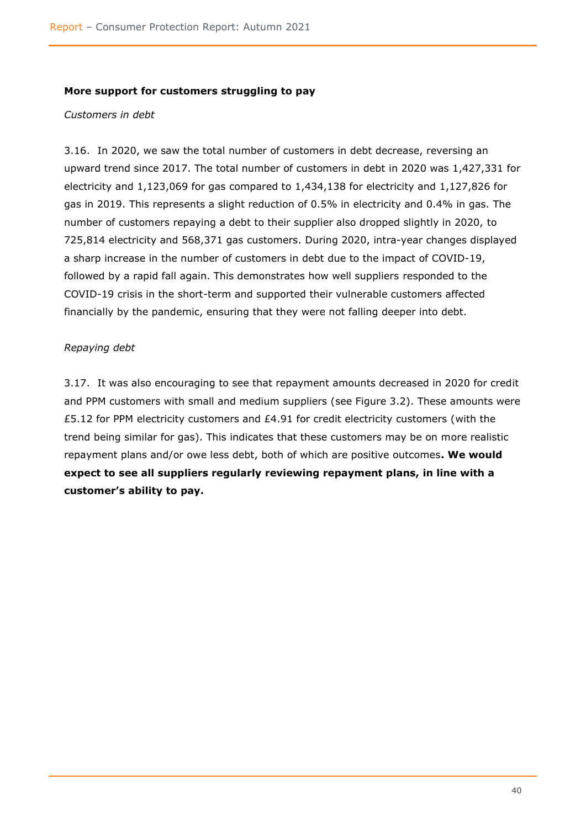#### <span id="page-41-0"></span>**More support for customers struggling to pay**

#### *Customers in debt*

3.16. In 2020, we saw the total number of customers in debt decrease, reversing an upward trend since 2017. The total number of customers in debt in 2020 was 1,427,331 for electricity and 1,123,069 for gas compared to 1,434,138 for electricity and 1,127,826 for gas in 2019. This represents a slight reduction of 0.5% in electricity and 0.4% in gas. The number of customers repaying a debt to their supplier also dropped slightly in 2020, to 725,814 electricity and 568,371 gas customers. During 2020, intra-year changes displayed a sharp increase in the number of customers in debt due to the impact of COVID-19, followed by a rapid fall again. This demonstrates how well suppliers responded to the COVID-19 crisis in the short-term and supported their vulnerable customers affected financially by the pandemic, ensuring that they were not falling deeper into debt.

## *Repaying debt*

3.17. It was also encouraging to see that repayment amounts decreased in 2020 for credit and PPM customers with small and medium suppliers (see Figure 3.2). These amounts were £5.12 for PPM electricity customers and £4.91 for credit electricity customers (with the trend being similar for gas). This indicates that these customers may be on more realistic repayment plans and/or owe less debt, both of which are positive outcomes**. We would expect to see all suppliers regularly reviewing repayment plans, in line with a customer's ability to pay.**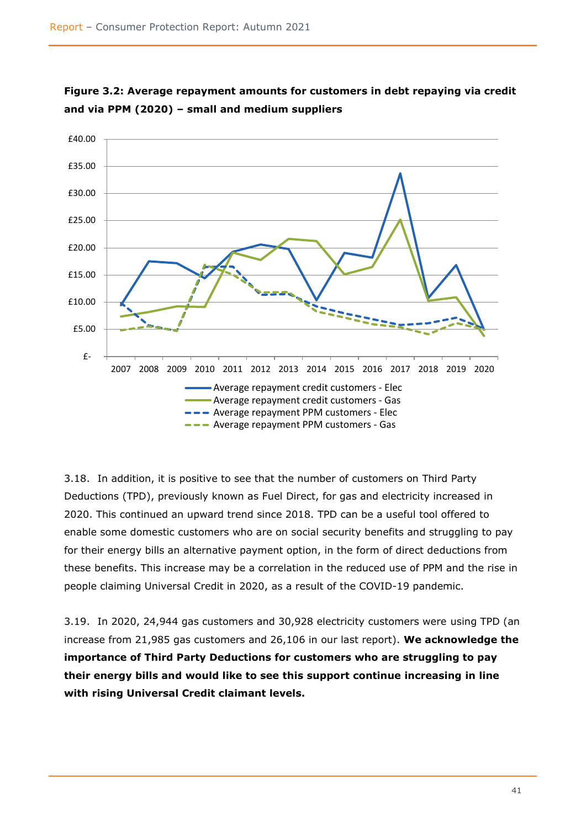



3.18. In addition, it is positive to see that the number of customers on Third Party Deductions (TPD), previously known as Fuel Direct, for gas and electricity increased in 2020. This continued an upward trend since 2018. TPD can be a useful tool offered to enable some domestic customers who are on social security benefits and struggling to pay for their energy bills an alternative payment option, in the form of direct deductions from these benefits. This increase may be a correlation in the reduced use of PPM and the rise in people claiming Universal Credit in 2020, as a result of the COVID-19 pandemic.

3.19. In 2020, 24,944 gas customers and 30,928 electricity customers were using TPD (an increase from 21,985 gas customers and 26,106 in our last report). **We acknowledge the importance of Third Party Deductions for customers who are struggling to pay their energy bills and would like to see this support continue increasing in line with rising Universal Credit claimant levels.**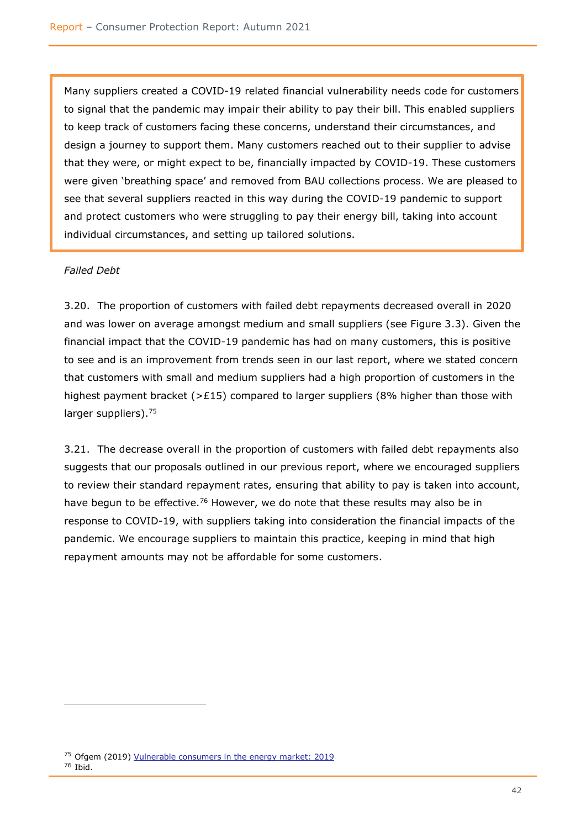Many suppliers created a COVID-19 related financial vulnerability needs code for customers to signal that the pandemic may impair their ability to pay their bill. This enabled suppliers to keep track of customers facing these concerns, understand their circumstances, and design a journey to support them. Many customers reached out to their supplier to advise that they were, or might expect to be, financially impacted by COVID-19. These customers were given 'breathing space' and removed from BAU collections process. We are pleased to see that several suppliers reacted in this way during the COVID-19 pandemic to support and protect customers who were struggling to pay their energy bill, taking into account individual circumstances, and setting up tailored solutions.

## *Failed Debt*

3.20. The proportion of customers with failed debt repayments decreased overall in 2020 and was lower on average amongst medium and small suppliers (see Figure 3.3). Given the financial impact that the COVID-19 pandemic has had on many customers, this is positive to see and is an improvement from trends seen in our last report, where we stated concern that customers with small and medium suppliers had a high proportion of customers in the highest payment bracket ( $>$ £15) compared to larger suppliers (8% higher than those with larger suppliers).<sup>75</sup>

3.21. The decrease overall in the proportion of customers with failed debt repayments also suggests that our proposals outlined in our previous report, where we encouraged suppliers to review their standard repayment rates, ensuring that ability to pay is taken into account, have begun to be effective.<sup>76</sup> However, we do note that these results may also be in response to COVID-19, with suppliers taking into consideration the financial impacts of the pandemic. We encourage suppliers to maintain this practice, keeping in mind that high repayment amounts may not be affordable for some customers.

<sup>75</sup> Ofgem (2019) [Vulnerable consumers in the energy market: 2019](https://www.ofgem.gov.uk/publications/vulnerable-consumers-energy-market-2019) <sup>76</sup> Ibid.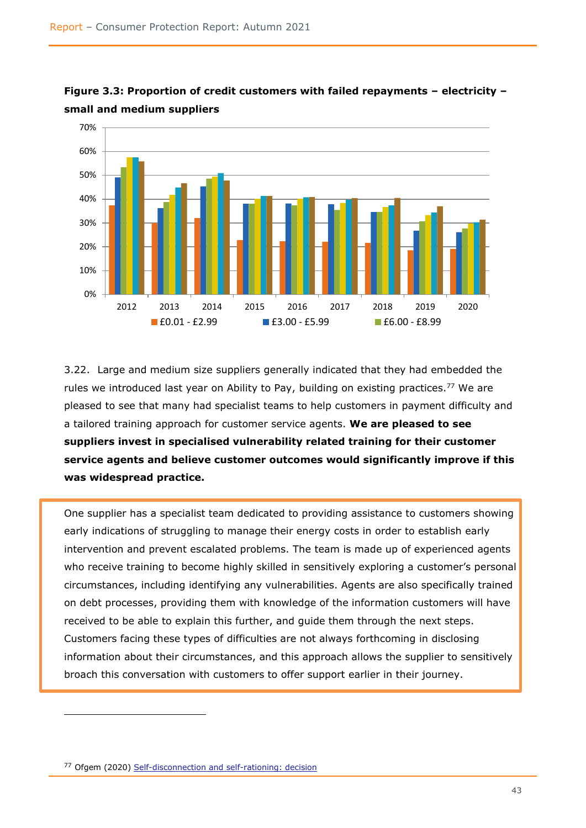

**Figure 3.3: Proportion of credit customers with failed repayments – electricity – small and medium suppliers**

3.22. Large and medium size suppliers generally indicated that they had embedded the rules we introduced last year on Ability to Pay, building on existing practices.<sup>77</sup> We are pleased to see that many had specialist teams to help customers in payment difficulty and a tailored training approach for customer service agents. **We are pleased to see suppliers invest in specialised vulnerability related training for their customer service agents and believe customer outcomes would significantly improve if this was widespread practice.**

One supplier has a specialist team dedicated to providing assistance to customers showing early indications of struggling to manage their energy costs in order to establish early intervention and prevent escalated problems. The team is made up of experienced agents who receive training to become highly skilled in sensitively exploring a customer's personal circumstances, including identifying any vulnerabilities. Agents are also specifically trained on debt processes, providing them with knowledge of the information customers will have received to be able to explain this further, and guide them through the next steps. Customers facing these types of difficulties are not always forthcoming in disclosing information about their circumstances, and this approach allows the supplier to sensitively broach this conversation with customers to offer support earlier in their journey.

<sup>77</sup> Ofgem (2020) [Self-disconnection and self-rationing: decision](https://www.ofgem.gov.uk/publications/self-disconnection-and-self-rationing-decision)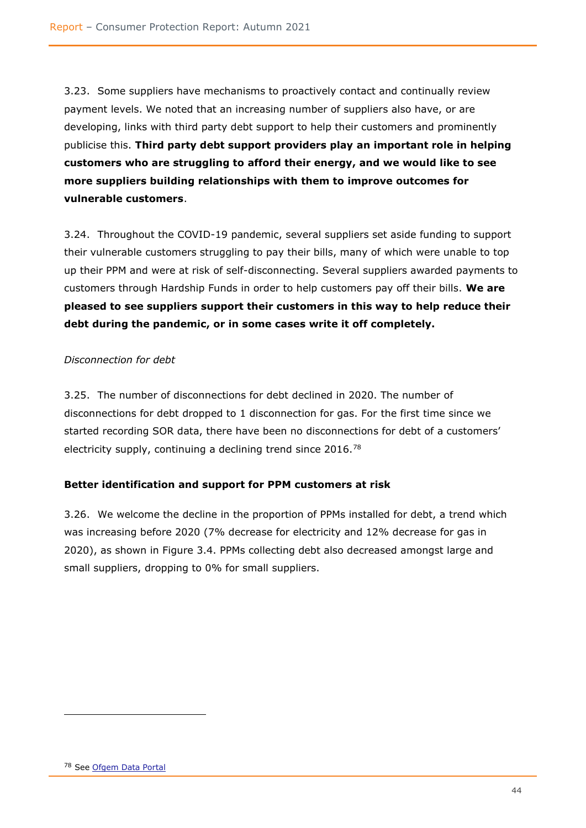3.23. Some suppliers have mechanisms to proactively contact and continually review payment levels. We noted that an increasing number of suppliers also have, or are developing, links with third party debt support to help their customers and prominently publicise this. **Third party debt support providers play an important role in helping customers who are struggling to afford their energy, and we would like to see more suppliers building relationships with them to improve outcomes for vulnerable customers**.

3.24. Throughout the COVID-19 pandemic, several suppliers set aside funding to support their vulnerable customers struggling to pay their bills, many of which were unable to top up their PPM and were at risk of self-disconnecting. Several suppliers awarded payments to customers through Hardship Funds in order to help customers pay off their bills. **We are pleased to see suppliers support their customers in this way to help reduce their debt during the pandemic, or in some cases write it off completely.** 

## *Disconnection for debt*

3.25. The number of disconnections for debt declined in 2020. The number of disconnections for debt dropped to 1 disconnection for gas. For the first time since we started recording SOR data, there have been no disconnections for debt of a customers' electricity supply, continuing a declining trend since 2016.<sup>78</sup>

#### <span id="page-45-0"></span>**Better identification and support for PPM customers at risk**

3.26. We welcome the decline in the proportion of PPMs installed for debt, a trend which was increasing before 2020 (7% decrease for electricity and 12% decrease for gas in 2020), as shown in Figure 3.4. PPMs collecting debt also decreased amongst large and small suppliers, dropping to 0% for small suppliers.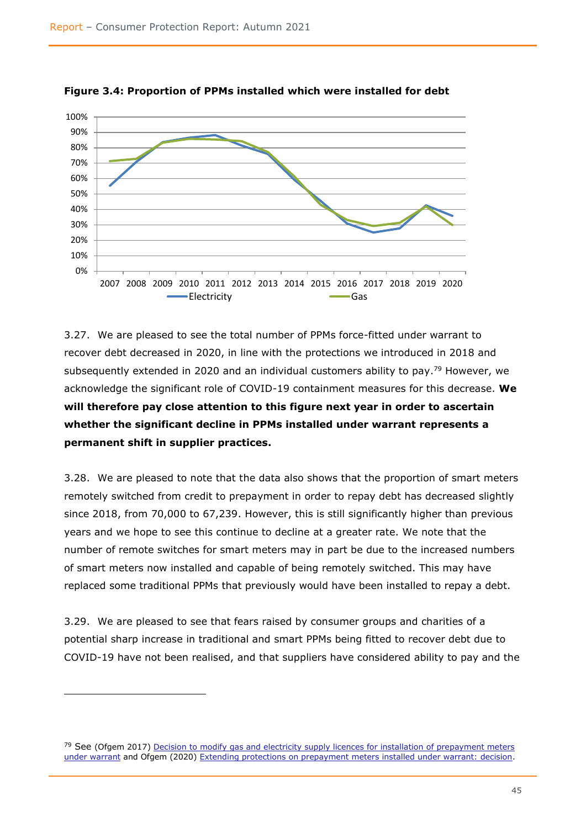

**Figure 3.4: Proportion of PPMs installed which were installed for debt**

3.27. We are pleased to see the total number of PPMs force-fitted under warrant to recover debt decreased in 2020, in line with the protections we introduced in 2018 and subsequently extended in 2020 and an individual customers ability to pay.<sup>79</sup> However, we acknowledge the significant role of COVID-19 containment measures for this decrease. **We will therefore pay close attention to this figure next year in order to ascertain whether the significant decline in PPMs installed under warrant represents a permanent shift in supplier practices.**

3.28. We are pleased to note that the data also shows that the proportion of smart meters remotely switched from credit to prepayment in order to repay debt has decreased slightly since 2018, from 70,000 to 67,239. However, this is still significantly higher than previous years and we hope to see this continue to decline at a greater rate. We note that the number of remote switches for smart meters may in part be due to the increased numbers of smart meters now installed and capable of being remotely switched. This may have replaced some traditional PPMs that previously would have been installed to repay a debt.

3.29. We are pleased to see that fears raised by consumer groups and charities of a potential sharp increase in traditional and smart PPMs being fitted to recover debt due to COVID-19 have not been realised, and that suppliers have considered ability to pay and the

<sup>&</sup>lt;sup>79</sup> See (Ofgem 2017) Decision to modify gas and electricity supply licences for installation of prepayment meters [under warrant](thttps://www.ofgem.gov.uk/publications/decision-modify-gas-and-electricity-supply-licences-installation-prepayment-meters-under-warrant) and Ofgem (2020) [Extending protections on prepayment meters installed under warrant: decision.](https://www.ofgem.gov.uk/publications/extending-protections-prepayment-meters-installed-under-warrant-decision)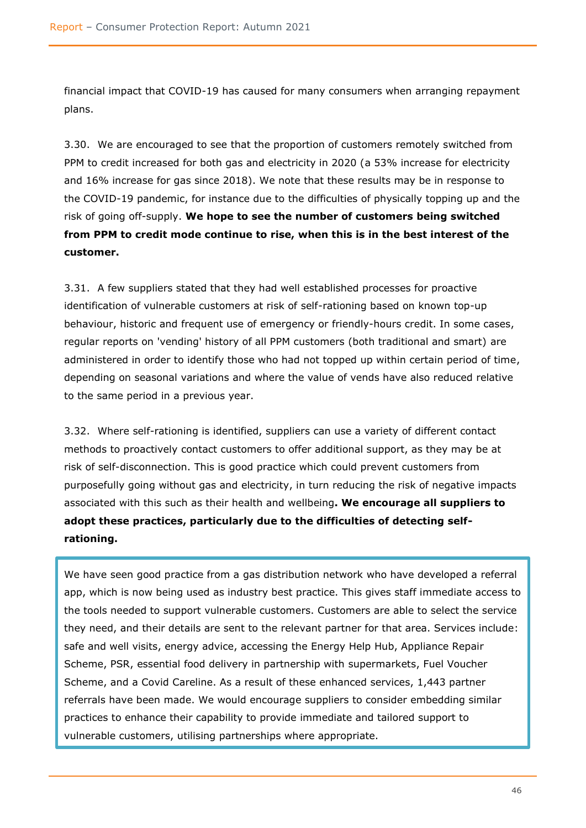financial impact that COVID-19 has caused for many consumers when arranging repayment plans.

3.30. We are encouraged to see that the proportion of customers remotely switched from PPM to credit increased for both gas and electricity in 2020 (a 53% increase for electricity and 16% increase for gas since 2018). We note that these results may be in response to the COVID-19 pandemic, for instance due to the difficulties of physically topping up and the risk of going off-supply. **We hope to see the number of customers being switched from PPM to credit mode continue to rise, when this is in the best interest of the customer.**

3.31. A few suppliers stated that they had well established processes for proactive identification of vulnerable customers at risk of self-rationing based on known top-up behaviour, historic and frequent use of emergency or friendly-hours credit. In some cases, regular reports on 'vending' history of all PPM customers (both traditional and smart) are administered in order to identify those who had not topped up within certain period of time, depending on seasonal variations and where the value of vends have also reduced relative to the same period in a previous year.

3.32. Where self-rationing is identified, suppliers can use a variety of different contact methods to proactively contact customers to offer additional support, as they may be at risk of self-disconnection. This is good practice which could prevent customers from purposefully going without gas and electricity, in turn reducing the risk of negative impacts associated with this such as their health and wellbeing**. We encourage all suppliers to adopt these practices, particularly due to the difficulties of detecting selfrationing.**

We have seen good practice from a gas distribution network who have developed a referral app, which is now being used as industry best practice. This gives staff immediate access to the tools needed to support vulnerable customers. Customers are able to select the service they need, and their details are sent to the relevant partner for that area. Services include: safe and well visits, energy advice, accessing the Energy Help Hub, Appliance Repair Scheme, PSR, essential food delivery in partnership with supermarkets, Fuel Voucher Scheme, and a Covid Careline. As a result of these enhanced services, 1,443 partner referrals have been made. We would encourage suppliers to consider embedding similar practices to enhance their capability to provide immediate and tailored support to vulnerable customers, utilising partnerships where appropriate.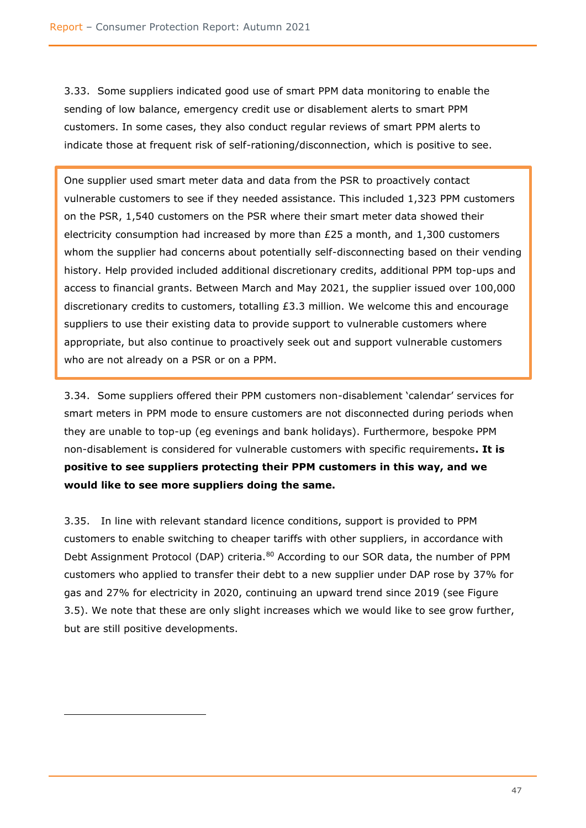3.33. Some suppliers indicated good use of smart PPM data monitoring to enable the sending of low balance, emergency credit use or disablement alerts to smart PPM customers. In some cases, they also conduct regular reviews of smart PPM alerts to indicate those at frequent risk of self-rationing/disconnection, which is positive to see.

One supplier used smart meter data and data from the PSR to proactively contact vulnerable customers to see if they needed assistance. This included 1,323 PPM customers on the PSR, 1,540 customers on the PSR where their smart meter data showed their electricity consumption had increased by more than  $£25$  a month, and  $1,300$  customers whom the supplier had concerns about potentially self-disconnecting based on their vending history. Help provided included additional discretionary credits, additional PPM top-ups and access to financial grants. Between March and May 2021, the supplier issued over 100,000 discretionary credits to customers, totalling £3.3 million. We welcome this and encourage suppliers to use their existing data to provide support to vulnerable customers where appropriate, but also continue to proactively seek out and support vulnerable customers who are not already on a PSR or on a PPM.

3.34. Some suppliers offered their PPM customers non-disablement 'calendar' services for smart meters in PPM mode to ensure customers are not disconnected during periods when they are unable to top-up (eg evenings and bank holidays). Furthermore, bespoke PPM non-disablement is considered for vulnerable customers with specific requirements**. It is positive to see suppliers protecting their PPM customers in this way, and we would like to see more suppliers doing the same.**

3.35. In line with relevant standard licence conditions, support is provided to PPM customers to enable switching to cheaper tariffs with other suppliers, in accordance with Debt Assignment Protocol (DAP) criteria.<sup>80</sup> According to our SOR data, the number of PPM customers who applied to transfer their debt to a new supplier under DAP rose by 37% for gas and 27% for electricity in 2020, continuing an upward trend since 2019 (see Figure 3.5). We note that these are only slight increases which we would like to see grow further, but are still positive developments.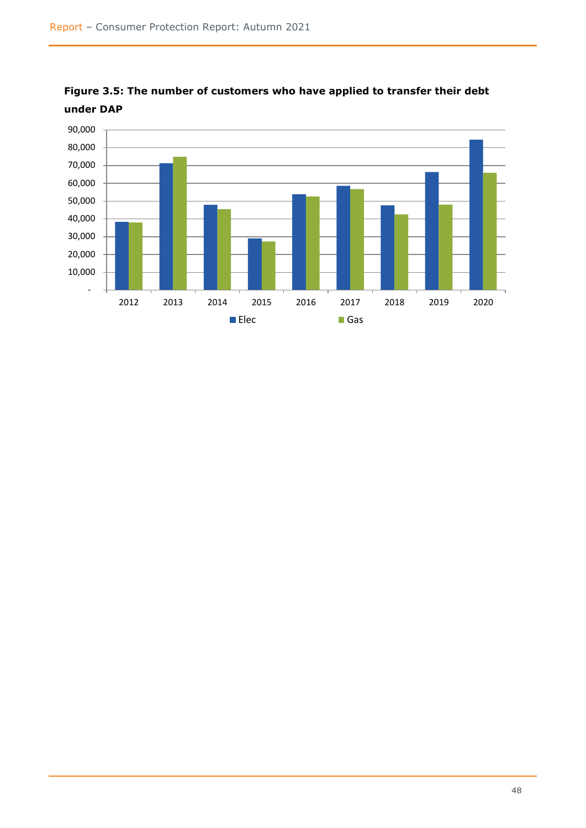

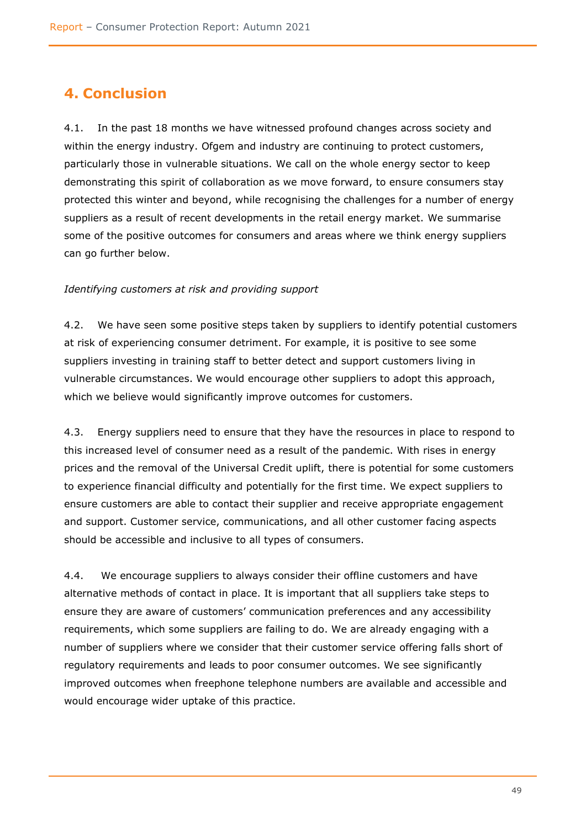# <span id="page-50-0"></span>**4. Conclusion**

4.1. In the past 18 months we have witnessed profound changes across society and within the energy industry. Ofgem and industry are continuing to protect customers, particularly those in vulnerable situations. We call on the whole energy sector to keep demonstrating this spirit of collaboration as we move forward, to ensure consumers stay protected this winter and beyond, while recognising the challenges for a number of energy suppliers as a result of recent developments in the retail energy market. We summarise some of the positive outcomes for consumers and areas where we think energy suppliers can go further below.

#### *Identifying customers at risk and providing support*

4.2. We have seen some positive steps taken by suppliers to identify potential customers at risk of experiencing consumer detriment. For example, it is positive to see some suppliers investing in training staff to better detect and support customers living in vulnerable circumstances. We would encourage other suppliers to adopt this approach, which we believe would significantly improve outcomes for customers.

4.3. Energy suppliers need to ensure that they have the resources in place to respond to this increased level of consumer need as a result of the pandemic. With rises in energy prices and the removal of the Universal Credit uplift, there is potential for some customers to experience financial difficulty and potentially for the first time. We expect suppliers to ensure customers are able to contact their supplier and receive appropriate engagement and support. Customer service, communications, and all other customer facing aspects should be accessible and inclusive to all types of consumers.

4.4. We encourage suppliers to always consider their offline customers and have alternative methods of contact in place. It is important that all suppliers take steps to ensure they are aware of customers' communication preferences and any accessibility requirements, which some suppliers are failing to do. We are already engaging with a number of suppliers where we consider that their customer service offering falls short of regulatory requirements and leads to poor consumer outcomes. We see significantly improved outcomes when freephone telephone numbers are available and accessible and would encourage wider uptake of this practice.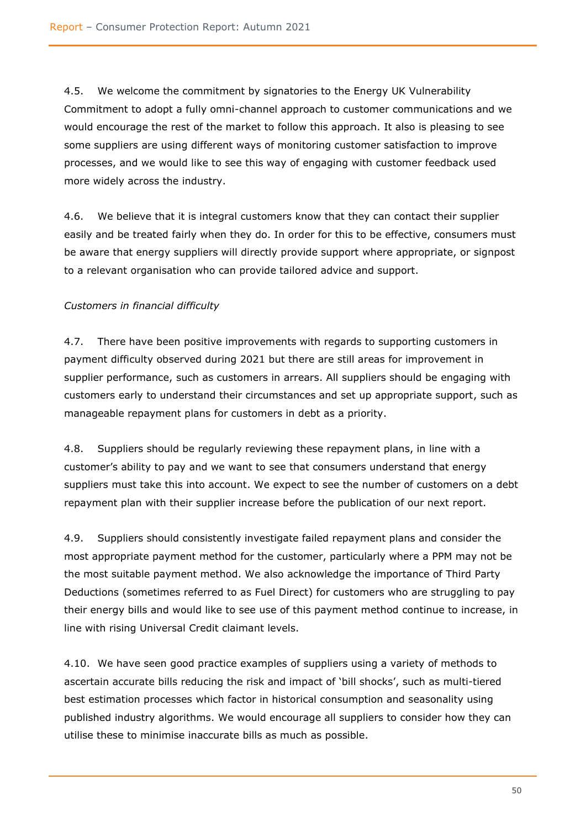4.5. We welcome the commitment by signatories to the Energy UK Vulnerability Commitment to adopt a fully omni-channel approach to customer communications and we would encourage the rest of the market to follow this approach. It also is pleasing to see some suppliers are using different ways of monitoring customer satisfaction to improve processes, and we would like to see this way of engaging with customer feedback used more widely across the industry.

4.6. We believe that it is integral customers know that they can contact their supplier easily and be treated fairly when they do. In order for this to be effective, consumers must be aware that energy suppliers will directly provide support where appropriate, or signpost to a relevant organisation who can provide tailored advice and support.

# *Customers in financial difficulty*

4.7. There have been positive improvements with regards to supporting customers in payment difficulty observed during 2021 but there are still areas for improvement in supplier performance, such as customers in arrears. All suppliers should be engaging with customers early to understand their circumstances and set up appropriate support, such as manageable repayment plans for customers in debt as a priority.

4.8. Suppliers should be regularly reviewing these repayment plans, in line with a customer's ability to pay and we want to see that consumers understand that energy suppliers must take this into account. We expect to see the number of customers on a debt repayment plan with their supplier increase before the publication of our next report.

4.9. Suppliers should consistently investigate failed repayment plans and consider the most appropriate payment method for the customer, particularly where a PPM may not be the most suitable payment method. We also acknowledge the importance of Third Party Deductions (sometimes referred to as Fuel Direct) for customers who are struggling to pay their energy bills and would like to see use of this payment method continue to increase, in line with rising Universal Credit claimant levels.

4.10. We have seen good practice examples of suppliers using a variety of methods to ascertain accurate bills reducing the risk and impact of 'bill shocks', such as multi-tiered best estimation processes which factor in historical consumption and seasonality using published industry algorithms. We would encourage all suppliers to consider how they can utilise these to minimise inaccurate bills as much as possible.